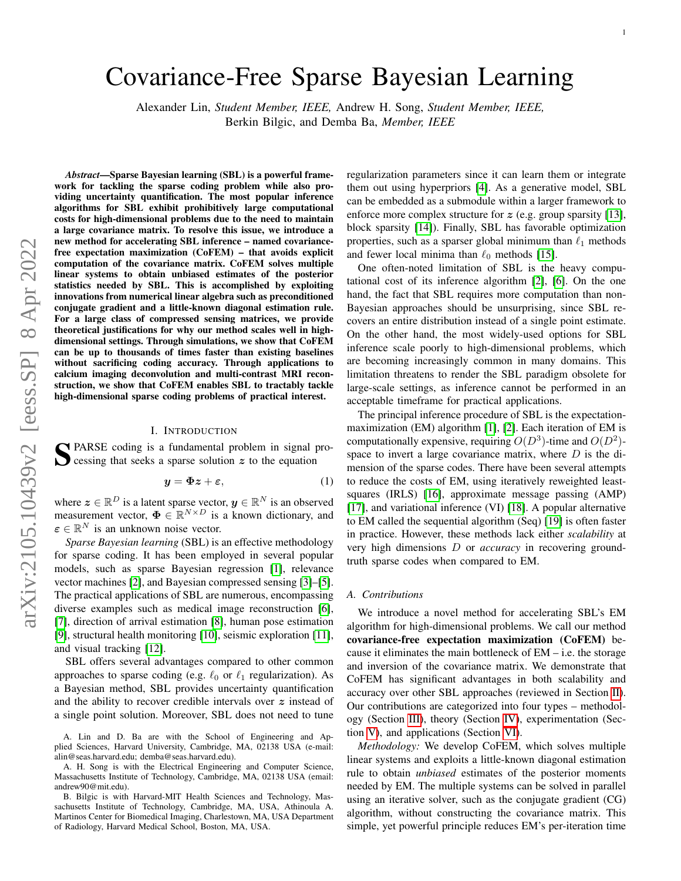# Covariance-Free Sparse Bayesian Learning

Alexander Lin, *Student Member, IEEE,* Andrew H. Song, *Student Member, IEEE,* Berkin Bilgic, and Demba Ba, *Member, IEEE*

*Abstract*—Sparse Bayesian learning (SBL) is a powerful framework for tackling the sparse coding problem while also providing uncertainty quantification. The most popular inference algorithms for SBL exhibit prohibitively large computational costs for high-dimensional problems due to the need to maintain a large covariance matrix. To resolve this issue, we introduce a new method for accelerating SBL inference – named covariancefree expectation maximization (CoFEM) – that avoids explicit computation of the covariance matrix. CoFEM solves multiple linear systems to obtain unbiased estimates of the posterior statistics needed by SBL. This is accomplished by exploiting innovations from numerical linear algebra such as preconditioned conjugate gradient and a little-known diagonal estimation rule. For a large class of compressed sensing matrices, we provide theoretical justifications for why our method scales well in highdimensional settings. Through simulations, we show that CoFEM can be up to thousands of times faster than existing baselines without sacrificing coding accuracy. Through applications to calcium imaging deconvolution and multi-contrast MRI reconstruction, we show that CoFEM enables SBL to tractably tackle high-dimensional sparse coding problems of practical interest.

#### I. INTRODUCTION

S PARSE coding is a fundamental problem in signal processing that seeks a sparse solution  $z$  to the equation **C** cessing that seeks a sparse solution  $z$  to the equation

$$
y = \Phi z + \varepsilon, \tag{1}
$$

where  $\boldsymbol{z} \in \mathbb{R}^D$  is a latent sparse vector,  $\boldsymbol{y} \in \mathbb{R}^N$  is an observed measurement vector,  $\Phi \in \mathbb{R}^{N \times D}$  is a known dictionary, and  $\boldsymbol{\varepsilon} \in \mathbb{R}^N$  is an unknown noise vector.

*Sparse Bayesian learning* (SBL) is an effective methodology for sparse coding. It has been employed in several popular models, such as sparse Bayesian regression [\[1\]](#page-12-0), relevance vector machines [\[2\]](#page-12-1), and Bayesian compressed sensing [\[3\]](#page-12-2)–[\[5\]](#page-12-3). The practical applications of SBL are numerous, encompassing diverse examples such as medical image reconstruction [\[6\]](#page-12-4), [\[7\]](#page-12-5), direction of arrival estimation [\[8\]](#page-12-6), human pose estimation [\[9\]](#page-12-7), structural health monitoring [\[10\]](#page-12-8), seismic exploration [\[11\]](#page-12-9), and visual tracking [\[12\]](#page-12-10).

SBL offers several advantages compared to other common approaches to sparse coding (e.g.  $\ell_0$  or  $\ell_1$  regularization). As a Bayesian method, SBL provides uncertainty quantification and the ability to recover credible intervals over z instead of a single point solution. Moreover, SBL does not need to tune regularization parameters since it can learn them or integrate them out using hyperpriors [\[4\]](#page-12-11). As a generative model, SBL can be embedded as a submodule within a larger framework to enforce more complex structure for  $z$  (e.g. group sparsity [\[13\]](#page-12-12), block sparsity [\[14\]](#page-12-13)). Finally, SBL has favorable optimization properties, such as a sparser global minimum than  $\ell_1$  methods and fewer local minima than  $\ell_0$  methods [\[15\]](#page-12-14).

One often-noted limitation of SBL is the heavy computational cost of its inference algorithm [\[2\]](#page-12-1), [\[6\]](#page-12-4). On the one hand, the fact that SBL requires more computation than non-Bayesian approaches should be unsurprising, since SBL recovers an entire distribution instead of a single point estimate. On the other hand, the most widely-used options for SBL inference scale poorly to high-dimensional problems, which are becoming increasingly common in many domains. This limitation threatens to render the SBL paradigm obsolete for large-scale settings, as inference cannot be performed in an acceptable timeframe for practical applications.

<span id="page-0-0"></span>The principal inference procedure of SBL is the expectationmaximization (EM) algorithm [\[1\]](#page-12-0), [\[2\]](#page-12-1). Each iteration of EM is computationally expensive, requiring  $O(D^3)$ -time and  $O(D^2)$ space to invert a large covariance matrix, where  $D$  is the dimension of the sparse codes. There have been several attempts to reduce the costs of EM, using iteratively reweighted leastsquares (IRLS) [\[16\]](#page-12-15), approximate message passing (AMP) [\[17\]](#page-12-16), and variational inference (VI) [\[18\]](#page-12-17). A popular alternative to EM called the sequential algorithm (Seq) [\[19\]](#page-12-18) is often faster in practice. However, these methods lack either *scalability* at very high dimensions D or *accuracy* in recovering groundtruth sparse codes when compared to EM.

#### *A. Contributions*

We introduce a novel method for accelerating SBL's EM algorithm for high-dimensional problems. We call our method covariance-free expectation maximization (CoFEM) because it eliminates the main bottleneck of EM – i.e. the storage and inversion of the covariance matrix. We demonstrate that CoFEM has significant advantages in both scalability and accuracy over other SBL approaches (reviewed in Section [II\)](#page-1-0). Our contributions are categorized into four types – methodology (Section [III\)](#page-2-0), theory (Section [IV\)](#page-4-0), experimentation (Section [V\)](#page-6-0), and applications (Section [VI\)](#page-9-0).

*Methodology:* We develop CoFEM, which solves multiple linear systems and exploits a little-known diagonal estimation rule to obtain *unbiased* estimates of the posterior moments needed by EM. The multiple systems can be solved in parallel using an iterative solver, such as the conjugate gradient (CG) algorithm, without constructing the covariance matrix. This simple, yet powerful principle reduces EM's per-iteration time

A. Lin and D. Ba are with the School of Engineering and Applied Sciences, Harvard University, Cambridge, MA, 02138 USA (e-mail: alin@seas.harvard.edu; demba@seas.harvard.edu).

A. H. Song is with the Electrical Engineering and Computer Science, Massachusetts Institute of Technology, Cambridge, MA, 02138 USA (email: andrew90@mit.edu).

B. Bilgic is with Harvard-MIT Health Sciences and Technology, Massachusetts Institute of Technology, Cambridge, MA, USA, Athinoula A. Martinos Center for Biomedical Imaging, Charlestown, MA, USA Department of Radiology, Harvard Medical School, Boston, MA, USA.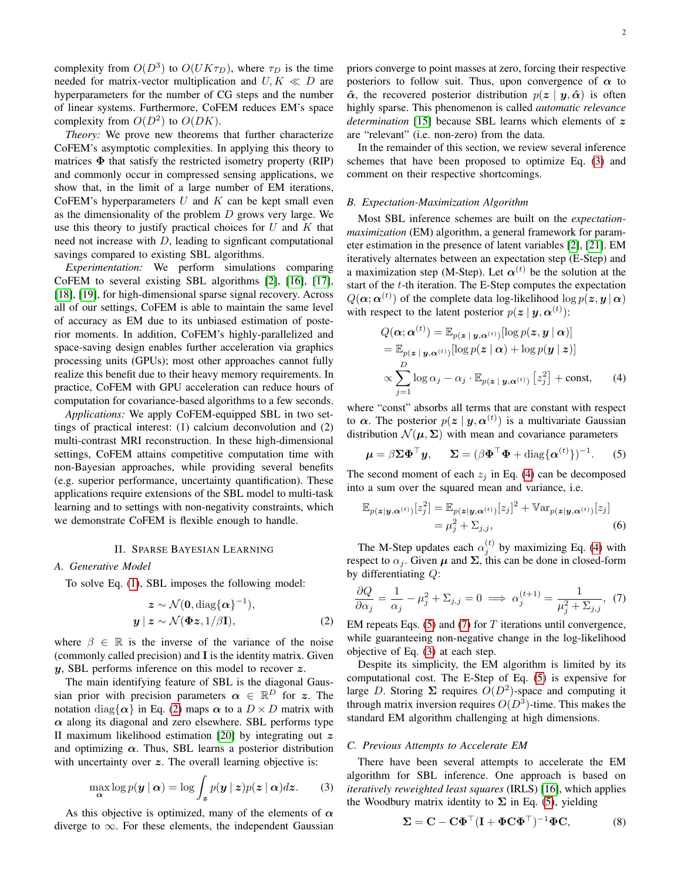complexity from  $O(D^3)$  to  $O(UK\tau_D)$ , where  $\tau_D$  is the time needed for matrix-vector multiplication and  $U, K \ll D$  are hyperparameters for the number of CG steps and the number of linear systems. Furthermore, CoFEM reduces EM's space complexity from  $O(D^2)$  to  $O(DK)$ .

*Theory:* We prove new theorems that further characterize CoFEM's asymptotic complexities. In applying this theory to matrices  $\Phi$  that satisfy the restricted isometry property (RIP) and commonly occur in compressed sensing applications, we show that, in the limit of a large number of EM iterations, CoFEM's hyperparameters  $U$  and  $K$  can be kept small even as the dimensionality of the problem  $D$  grows very large. We use this theory to justify practical choices for  $U$  and  $K$  that need not increase with  $D$ , leading to signficant computational savings compared to existing SBL algorithms.

*Experimentation:* We perform simulations comparing CoFEM to several existing SBL algorithms [\[2\]](#page-12-1), [\[16\]](#page-12-15), [\[17\]](#page-12-16), [\[18\]](#page-12-17), [\[19\]](#page-12-18), for high-dimensional sparse signal recovery. Across all of our settings, CoFEM is able to maintain the same level of accuracy as EM due to its unbiased estimation of posterior moments. In addition, CoFEM's highly-parallelized and space-saving design enables further acceleration via graphics processing units (GPUs); most other approaches cannot fully realize this benefit due to their heavy memory requirements. In practice, CoFEM with GPU acceleration can reduce hours of computation for covariance-based algorithms to a few seconds.

*Applications:* We apply CoFEM-equipped SBL in two settings of practical interest: (1) calcium deconvolution and (2) multi-contrast MRI reconstruction. In these high-dimensional settings, CoFEM attains competitive computation time with non-Bayesian approaches, while providing several benefits (e.g. superior performance, uncertainty quantification). These applications require extensions of the SBL model to multi-task learning and to settings with non-negativity constraints, which we demonstrate CoFEM is flexible enough to handle.

### II. SPARSE BAYESIAN LEARNING

#### <span id="page-1-0"></span>*A. Generative Model*

To solve Eq. [\(1\)](#page-0-0), SBL imposes the following model:

$$
z \sim \mathcal{N}(\mathbf{0}, \text{diag}\{\alpha\}^{-1}),
$$
  

$$
y \mid z \sim \mathcal{N}(\Phi z, 1/\beta \mathbf{I}),
$$
 (2)

where  $\beta \in \mathbb{R}$  is the inverse of the variance of the noise (commonly called precision) and I is the identity matrix. Given y, SBL performs inference on this model to recover z.

The main identifying feature of SBL is the diagonal Gaussian prior with precision parameters  $\alpha \in \mathbb{R}^D$  for z. The notation diag $\{\alpha\}$  in Eq. [\(2\)](#page-1-1) maps  $\alpha$  to a  $D \times D$  matrix with  $\alpha$  along its diagonal and zero elsewhere. SBL performs type II maximum likelihood estimation [\[20\]](#page-12-19) by integrating out  $z$ and optimizing  $\alpha$ . Thus, SBL learns a posterior distribution with uncertainty over  $z$ . The overall learning objective is:

$$
\max_{\mathbf{\alpha}} \log p(\mathbf{y} \mid \mathbf{\alpha}) = \log \int_{\mathbf{z}} p(\mathbf{y} \mid \mathbf{z}) p(\mathbf{z} \mid \mathbf{\alpha}) d\mathbf{z}.
$$
 (3)

As this objective is optimized, many of the elements of  $\alpha$ diverge to  $\infty$ . For these elements, the independent Gaussian priors converge to point masses at zero, forcing their respective posteriors to follow suit. Thus, upon convergence of  $\alpha$  to  $\hat{\alpha}$ , the recovered posterior distribution  $p(z | y, \hat{\alpha})$  is often highly sparse. This phenomenon is called *automatic relevance determination* [\[15\]](#page-12-14) because SBL learns which elements of z are "relevant" (i.e. non-zero) from the data.

In the remainder of this section, we review several inference schemes that have been proposed to optimize Eq. [\(3\)](#page-1-2) and comment on their respective shortcomings.

# *B. Expectation-Maximization Algorithm*

Most SBL inference schemes are built on the *expectationmaximization* (EM) algorithm, a general framework for parameter estimation in the presence of latent variables [\[2\]](#page-12-1), [\[21\]](#page-12-20). EM iteratively alternates between an expectation step (E-Step) and a maximization step (M-Step). Let  $\alpha^{(t)}$  be the solution at the start of the t-th iteration. The E-Step computes the expectation  $Q(\boldsymbol{\alpha};\boldsymbol{\alpha}^{(t)})$  of the complete data log-likelihood  $\log p(\boldsymbol{z}, \boldsymbol{y} \,|\, \boldsymbol{\alpha})$ with respect to the latent posterior  $p(z | y, \alpha^{(t)})$ :

<span id="page-1-3"></span>
$$
Q(\boldsymbol{\alpha};\boldsymbol{\alpha}^{(t)}) = \mathbb{E}_{p(\boldsymbol{z} \mid \boldsymbol{y}, \boldsymbol{\alpha}^{(t)})}[\log p(\boldsymbol{z}, \boldsymbol{y} \mid \boldsymbol{\alpha})]
$$
  
\n
$$
= \mathbb{E}_{p(\boldsymbol{z} \mid \boldsymbol{y}, \boldsymbol{\alpha}^{(t)})}[\log p(\boldsymbol{z} \mid \boldsymbol{\alpha}) + \log p(\boldsymbol{y} \mid \boldsymbol{z})]
$$
  
\n
$$
\propto \sum_{j=1}^{D} \log \alpha_j - \alpha_j \cdot \mathbb{E}_{p(\boldsymbol{z} \mid \boldsymbol{y}, \boldsymbol{\alpha}^{(t)})} [z_j^2] + \text{const}, \qquad (4)
$$

where "const" absorbs all terms that are constant with respect to  $\alpha$ . The posterior  $p(z | y, \alpha^{(t)})$  is a multivariate Gaussian distribution  $\mathcal{N}(\mu, \Sigma)$  with mean and covariance parameters

<span id="page-1-4"></span>
$$
\boldsymbol{\mu} = \beta \boldsymbol{\Sigma} \boldsymbol{\Phi}^\top \boldsymbol{y}, \quad \boldsymbol{\Sigma} = (\beta \boldsymbol{\Phi}^\top \boldsymbol{\Phi} + \text{diag}\{\boldsymbol{\alpha}^{(t)}\})^{-1}.
$$
 (5)

The second moment of each  $z_i$  in Eq. [\(4\)](#page-1-3) can be decomposed into a sum over the squared mean and variance, i.e.

<span id="page-1-6"></span>
$$
\mathbb{E}_{p(\boldsymbol{z}|\boldsymbol{y},\boldsymbol{\alpha}^{(t)})}[z_j^2] = \mathbb{E}_{p(\boldsymbol{z}|\boldsymbol{y},\boldsymbol{\alpha}^{(t)})}[z_j]^2 + \mathbb{V}\text{ar}_{p(\boldsymbol{z}|\boldsymbol{y},\boldsymbol{\alpha}^{(t)})}[z_j] \n= \mu_j^2 + \Sigma_{j,j},
$$
\n(6)

The M-Step updates each  $\alpha_j^{(t)}$  by maximizing Eq. [\(4\)](#page-1-3) with respect to  $\alpha_j$ . Given  $\mu$  and  $\Sigma$ , this can be done in closed-form by differentiating Q:

<span id="page-1-5"></span>
$$
\frac{\partial Q}{\partial \alpha_j} = \frac{1}{\alpha_j} - \mu_j^2 + \Sigma_{j,j} = 0 \implies \alpha_j^{(t+1)} = \frac{1}{\mu_j^2 + \Sigma_{j,j}}, \tag{7}
$$

<span id="page-1-1"></span>EM repeats Eqs.  $(5)$  and  $(7)$  for T iterations until convergence, while guaranteeing non-negative change in the log-likelihood objective of Eq. [\(3\)](#page-1-2) at each step.

Despite its simplicity, the EM algorithm is limited by its computational cost. The E-Step of Eq. [\(5\)](#page-1-4) is expensive for large D. Storing  $\Sigma$  requires  $O(D^2)$ -space and computing it through matrix inversion requires  $O(D^3)$ -time. This makes the standard EM algorithm challenging at high dimensions.

#### *C. Previous Attempts to Accelerate EM*

<span id="page-1-2"></span>There have been several attempts to accelerate the EM algorithm for SBL inference. One approach is based on *iteratively reweighted least squares* (IRLS) [\[16\]](#page-12-15), which applies the Woodbury matrix identity to  $\Sigma$  in Eq. [\(5\)](#page-1-4), yielding

<span id="page-1-7"></span>
$$
\Sigma = \mathbf{C} - \mathbf{C} \mathbf{\Phi}^{\top} (\mathbf{I} + \mathbf{\Phi} \mathbf{C} \mathbf{\Phi}^{\top})^{-1} \mathbf{\Phi} \mathbf{C}, \tag{8}
$$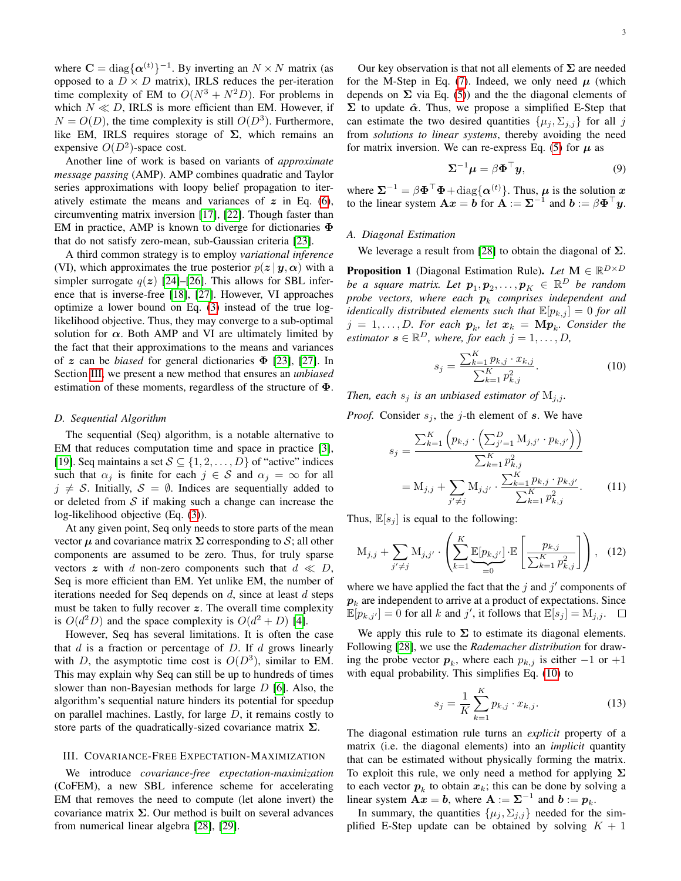where  $C = diag\{\alpha^{(t)}\}^{-1}$ . By inverting an  $N \times N$  matrix (as opposed to a  $D \times D$  matrix), IRLS reduces the per-iteration time complexity of EM to  $O(N^3 + N^2D)$ . For problems in which  $N \ll D$ , IRLS is more efficient than EM. However, if  $N = O(D)$ , the time complexity is still  $O(D^3)$ . Furthermore, like EM, IRLS requires storage of  $\Sigma$ , which remains an expensive  $O(D^2)$ -space cost.

Another line of work is based on variants of *approximate message passing* (AMP). AMP combines quadratic and Taylor series approximations with loopy belief propagation to iteratively estimate the means and variances of  $z$  in Eq. [\(6\)](#page-1-6), circumventing matrix inversion [\[17\]](#page-12-16), [\[22\]](#page-12-21). Though faster than EM in practice, AMP is known to diverge for dictionaries Φ that do not satisfy zero-mean, sub-Gaussian criteria [\[23\]](#page-12-22).

A third common strategy is to employ *variational inference* (VI), which approximates the true posterior  $p(z | y, \alpha)$  with a simpler surrogate  $q(z)$  [\[24\]](#page-12-23)–[\[26\]](#page-12-24). This allows for SBL inference that is inverse-free [\[18\]](#page-12-17), [\[27\]](#page-12-25). However, VI approaches optimize a lower bound on Eq. [\(3\)](#page-1-2) instead of the true loglikelihood objective. Thus, they may converge to a sub-optimal solution for  $\alpha$ . Both AMP and VI are ultimately limited by the fact that their approximations to the means and variances of z can be *biased* for general dictionaries Φ [\[23\]](#page-12-22), [\[27\]](#page-12-25). In Section [III,](#page-2-0) we present a new method that ensures an *unbiased* estimation of these moments, regardless of the structure of  $\Phi$ .

#### *D. Sequential Algorithm*

The sequential (Seq) algorithm, is a notable alternative to EM that reduces computation time and space in practice [\[3\]](#page-12-2), [\[19\]](#page-12-18). Seq maintains a set  $S \subseteq \{1, 2, \ldots, D\}$  of "active" indices such that  $\alpha_j$  is finite for each  $j \in S$  and  $\alpha_j = \infty$  for all  $j \neq S$ . Initially,  $S = \emptyset$ . Indices are sequentially added to or deleted from  $S$  if making such a change can increase the log-likelihood objective (Eq. [\(3\)](#page-1-2)).

At any given point, Seq only needs to store parts of the mean vector  $\mu$  and covariance matrix  $\Sigma$  corresponding to S; all other components are assumed to be zero. Thus, for truly sparse vectors z with d non-zero components such that  $d \ll D$ , Seq is more efficient than EM. Yet unlike EM, the number of iterations needed for Seq depends on  $d$ , since at least  $d$  steps must be taken to fully recover  $z$ . The overall time complexity is  $O(d^2D)$  and the space complexity is  $O(d^2 + D)$  [\[4\]](#page-12-11).

However, Seq has several limitations. It is often the case that  $d$  is a fraction or percentage of  $D$ . If  $d$  grows linearly with D, the asymptotic time cost is  $O(D^3)$ , similar to EM. This may explain why Seq can still be up to hundreds of times slower than non-Bayesian methods for large  $D$  [\[6\]](#page-12-4). Also, the algorithm's sequential nature hinders its potential for speedup on parallel machines. Lastly, for large  $D$ , it remains costly to store parts of the quadratically-sized covariance matrix  $\Sigma$ .

#### <span id="page-2-0"></span>III. COVARIANCE-FREE EXPECTATION-MAXIMIZATION

We introduce *covariance-free expectation-maximization* (CoFEM), a new SBL inference scheme for accelerating EM that removes the need to compute (let alone invert) the covariance matrix  $\Sigma$ . Our method is built on several advances from numerical linear algebra [\[28\]](#page-12-26), [\[29\]](#page-12-27).

Our key observation is that not all elements of  $\Sigma$  are needed for the M-Step in Eq. [\(7\)](#page-1-5). Indeed, we only need  $\mu$  (which depends on  $\Sigma$  via Eq. [\(5\)](#page-1-4)) and the the diagonal elements of  $\Sigma$  to update  $\hat{\alpha}$ . Thus, we propose a simplified E-Step that can estimate the two desired quantities  $\{\mu_j, \Sigma_{j,j}\}\$  for all j from *solutions to linear systems*, thereby avoiding the need for matrix inversion. We can re-express Eq. [\(5\)](#page-1-4) for  $\mu$  as

$$
\Sigma^{-1}\mu = \beta \Phi^{\top} y,\tag{9}
$$

where  $\Sigma^{-1} = \beta \Phi^{\top} \Phi + \text{diag} \{ \alpha^{(t)} \}.$  Thus,  $\mu$  is the solution x to the linear system  $\mathbf{A}x = \mathbf{b}$  for  $\mathbf{A} := \Sigma^{-1}$  and  $\mathbf{b} := \beta \mathbf{\Phi}^\top \mathbf{y}$ .

# <span id="page-2-3"></span>*A. Diagonal Estimation*

We leverage a result from [\[28\]](#page-12-26) to obtain the diagonal of  $\Sigma$ .

Proposition 1 (Diagonal Estimation Rule). *Let* M ∈  $\mathbb{R}^{D\times D}$ *be a square matrix. Let*  $p_1, p_2, \ldots, p_K \in \mathbb{R}^D$  *be random* probe vectors, where each  $\boldsymbol{p}_k$  comprises independent and *identically distributed elements such that*  $\mathbb{E}[p_{k,j}] = 0$  *for all*  $j = 1, \ldots, D$ *. For each*  $p_k$ *, let*  $x_k = Mp_k$ *. Consider the estimator*  $s \in \mathbb{R}^D$ , where, for each  $j = 1, \ldots, D$ ,

<span id="page-2-4"></span><span id="page-2-1"></span>
$$
s_j = \frac{\sum_{k=1}^{K} p_{k,j} \cdot x_{k,j}}{\sum_{k=1}^{K} p_{k,j}^2}.
$$
 (10)

*Then, each*  $s_i$  *is an unbiased estimator of*  $M_{i,i}$ *.* 

*Proof.* Consider  $s_i$ , the j-th element of s. We have

$$
s_j = \frac{\sum_{k=1}^{K} \left( p_{k,j} \cdot \left( \sum_{j'=1}^{D} M_{j,j'} \cdot p_{k,j'} \right) \right)}{\sum_{k=1}^{K} p_{k,j}^2}
$$

$$
= M_{j,j} + \sum_{j'\neq j} M_{j,j'} \cdot \frac{\sum_{k=1}^{K} p_{k,j} \cdot p_{k,j'}}{\sum_{k=1}^{K} p_{k,j}^2}. \tag{11}
$$

Thus,  $\mathbb{E}[s_i]$  is equal to the following:

$$
M_{j,j} + \sum_{j' \neq j} M_{j,j'} \cdot \left( \sum_{k=1}^{K} \underbrace{\mathbb{E}[p_{k,j'}]}_{=0} \cdot \mathbb{E} \left[ \frac{p_{k,j}}{\sum_{k=1}^{K} p_{k,j}^2} \right] \right), \quad (12)
$$

where we have applied the fact that the  $j$  and  $j'$  components of  $\boldsymbol{p}_k$  are independent to arrive at a product of expectations. Since  $\mathbb{E}[p_{k,j'}] = 0$  for all k and j', it follows that  $\mathbb{E}[s_j] = M_{j,j}$ .

We apply this rule to  $\Sigma$  to estimate its diagonal elements. Following [\[28\]](#page-12-26), we use the *Rademacher distribution* for drawing the probe vector  $p_k$ , where each  $p_{k,j}$  is either  $-1$  or  $+1$ with equal probability. This simplifies Eq. [\(10\)](#page-2-1) to

<span id="page-2-2"></span>
$$
s_j = \frac{1}{K} \sum_{k=1}^{K} p_{k,j} \cdot x_{k,j}.
$$
 (13)

The diagonal estimation rule turns an *explicit* property of a matrix (i.e. the diagonal elements) into an *implicit* quantity that can be estimated without physically forming the matrix. To exploit this rule, we only need a method for applying  $\Sigma$ to each vector  $p_k$  to obtain  $x_k$ ; this can be done by solving a linear system  $\mathbf{A} \cdot \mathbf{x} = \mathbf{b}$ , where  $\mathbf{A} := \mathbf{\Sigma}^{-1}$  and  $\mathbf{b} := \mathbf{p}_k$ .

In summary, the quantities  $\{\mu_j, \Sigma_{j,j}\}\)$  needed for the simplified E-Step update can be obtained by solving  $K + 1$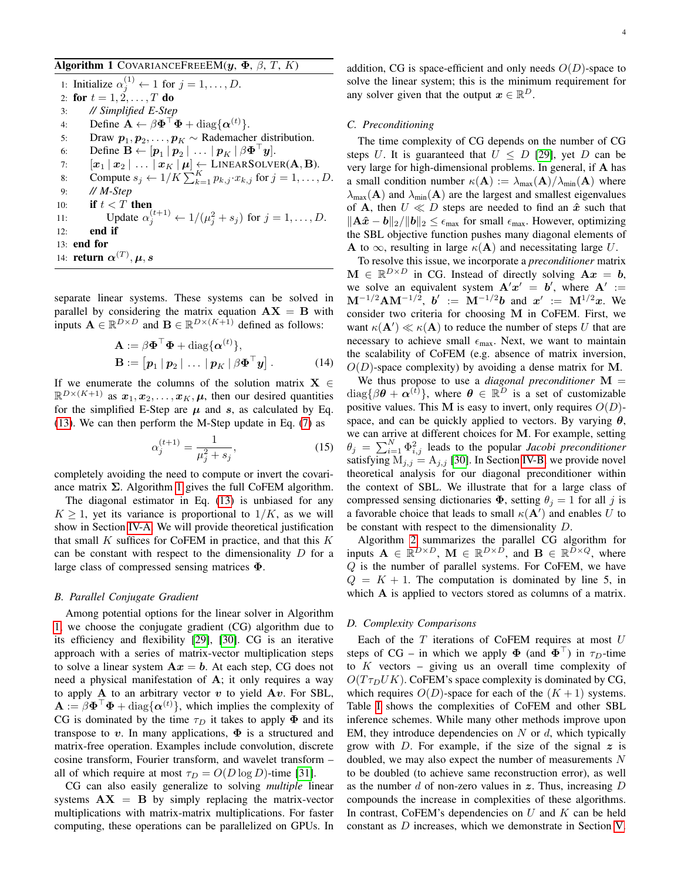<span id="page-3-0"></span>Algorithm 1 COVARIANCEFREEEM( $y$ ,  $\Phi$ ,  $\beta$ ,  $T$ ,  $K$ )

1: Initialize  $\alpha_j^{(1)} \leftarrow 1$  for  $j = 1, \dots, D$ . 2: for  $t = 1, 2, ..., T$  do 3: *// Simplified E-Step* 4: Define  $\mathbf{A} \leftarrow \beta \mathbf{\Phi}^{\top} \mathbf{\Phi} + \text{diag}\{\mathbf{\alpha}^{(t)}\}.$ 5: Draw  $p_1, p_2, \ldots, p_K \sim$  Rademacher distribution. 6: Define  $\mathbf{B} \leftarrow [\mathbf{p}_1 | \mathbf{p}_2 | \dots | \mathbf{p}_K | \beta \mathbf{\Phi}^\top \mathbf{y}].$ 7:  $[x_1 | x_2 | \ldots | x_K | \mu] \leftarrow \text{LinearSolver}(\mathbf{A}, \mathbf{B}).$ 8: Compute  $s_j \leftarrow 1/K \sum_{k=1}^K p_{k,j} \cdot x_{k,j}$  for  $j = 1, \ldots, D$ . 9: *// M-Step* 10: **if**  $t < T$  then 11: Update  $\alpha_j^{(t+1)} \leftarrow 1/(\mu_j^2 + s_j)$  for  $j = 1, ..., D$ . 12: end if 13: end for 14: **return**  $\boldsymbol{\alpha}^{(T)}, \boldsymbol{\mu}, \boldsymbol{s}$ 

separate linear systems. These systems can be solved in parallel by considering the matrix equation  $AX = B$  with inputs  $\mathbf{A} \in \mathbb{R}^{D \times D}$  and  $\mathbf{B} \in \mathbb{R}^{D \times (K+1)}$  defined as follows:

$$
\mathbf{A} := \beta \mathbf{\Phi}^{\top} \mathbf{\Phi} + \text{diag}\{\boldsymbol{\alpha}^{(t)}\},
$$
  

$$
\mathbf{B} := [\boldsymbol{p}_1 \, | \, \boldsymbol{p}_2 \, | \, \dots \, | \, \boldsymbol{p}_K \, | \, \beta \mathbf{\Phi}^{\top} \boldsymbol{y}].
$$
 (14)

If we enumerate the columns of the solution matrix  $X \in$  $\mathbb{R}^{D\times (K+1)}$  as  $x_1, x_2, \ldots, x_K, \mu$ , then our desired quantities for the simplified E-Step are  $\mu$  and s, as calculated by Eq. [\(13\)](#page-2-2). We can then perform the M-Step update in Eq. [\(7\)](#page-1-5) as

$$
\alpha_j^{(t+1)} = \frac{1}{\mu_j^2 + s_j},\tag{15}
$$

completely avoiding the need to compute or invert the covariance matrix  $\Sigma$ . Algorithm [1](#page-3-0) gives the full CoFEM algorithm.

The diagonal estimator in Eq. [\(13\)](#page-2-2) is unbiased for any  $K \geq 1$ , yet its variance is proportional to  $1/K$ , as we will show in Section [IV-A.](#page-5-0) We will provide theoretical justification that small  $K$  suffices for CoFEM in practice, and that this  $K$ can be constant with respect to the dimensionality  $D$  for a large class of compressed sensing matrices Φ.

#### <span id="page-3-2"></span>*B. Parallel Conjugate Gradient*

Among potential options for the linear solver in Algorithm [1,](#page-3-0) we choose the conjugate gradient (CG) algorithm due to its efficiency and flexibility [\[29\]](#page-12-27), [\[30\]](#page-12-28). CG is an iterative approach with a series of matrix-vector multiplication steps to solve a linear system  $Ax = b$ . At each step, CG does not need a physical manifestation of A; it only requires a way to apply  $A$  to an arbitrary vector  $v$  to yield  $Av$ . For SBL,  $\mathbf{A} := \beta \mathbf{\Phi}^{\top} \mathbf{\Phi} + \text{diag}\{\alpha^{(t)}\}\$ , which implies the complexity of CG is dominated by the time  $\tau_D$  it takes to apply  $\Phi$  and its transpose to v. In many applications,  $\Phi$  is a structured and matrix-free operation. Examples include convolution, discrete cosine transform, Fourier transform, and wavelet transform – all of which require at most  $\tau_D = O(D \log D)$ -time [\[31\]](#page-12-29).

CG can also easily generalize to solving *multiple* linear systems  $AX = B$  by simply replacing the matrix-vector multiplications with matrix-matrix multiplications. For faster computing, these operations can be parallelized on GPUs. In addition, CG is space-efficient and only needs  $O(D)$ -space to solve the linear system; this is the minimum requirement for any solver given that the output  $x \in \mathbb{R}^D$ .

#### <span id="page-3-1"></span>*C. Preconditioning*

The time complexity of CG depends on the number of CG steps U. It is guaranteed that  $U \leq D$  [\[29\]](#page-12-27), yet D can be very large for high-dimensional problems. In general, if A has a small condition number  $\kappa(A) := \lambda_{\max}(A)/\lambda_{\min}(A)$  where  $\lambda_{\text{max}}(\mathbf{A})$  and  $\lambda_{\text{min}}(\mathbf{A})$  are the largest and smallest eigenvalues of A, then  $U \ll D$  steps are needed to find an  $\hat{x}$  such that  $||A\hat{x} - b||_2/||b||_2 \leq \epsilon_{\text{max}}$  for small  $\epsilon_{\text{max}}$ . However, optimizing the SBL objective function pushes many diagonal elements of A to  $\infty$ , resulting in large  $\kappa(A)$  and necessitating large U.

To resolve this issue, we incorporate a *preconditioner* matrix  $\mathbf{M} \in \mathbb{R}^{D \times D}$  in CG. Instead of directly solving  $\mathbf{A} \mathbf{x} = \mathbf{b}$ , we solve an equivalent system  $A'x' = b'$ , where  $A' :=$  $M^{-1/2}AM^{-1/2}$ ,  $b' := M^{-1/2}b$  and  $x' := M^{1/2}x$ . We consider two criteria for choosing M in CoFEM. First, we want  $\kappa(\mathbf{A}') \ll \kappa(\mathbf{A})$  to reduce the number of steps U that are necessary to achieve small  $\epsilon_{\text{max}}$ . Next, we want to maintain the scalability of CoFEM (e.g. absence of matrix inversion,  $O(D)$ -space complexity) by avoiding a dense matrix for M.

We thus propose to use a *diagonal preconditioner*  $M =$  $diag\{\beta\theta + \alpha^{(i)}\}\$ , where  $\theta \in \mathbb{R}^D$  is a set of customizable positive values. This M is easy to invert, only requires  $O(D)$ space, and can be quickly applied to vectors. By varying  $\theta$ , we can arrive at different choices for M. For example, setting  $\theta_j = \sum_{i=1}^{N} \Phi_{i,j}^2$  leads to the popular *Jacobi preconditioner* satisfying  $M_{j,j} = A_{j,j}$  [\[30\]](#page-12-28). In Section [IV-B,](#page-5-1) we provide novel theoretical analysis for our diagonal preconditioner within the context of SBL. We illustrate that for a large class of compressed sensing dictionaries  $\Phi$ , setting  $\theta_i = 1$  for all j is a favorable choice that leads to small  $\kappa(A')$  and enables U to be constant with respect to the dimensionality D.

Algorithm [2](#page-4-1) summarizes the parallel CG algorithm for inputs  $\mathbf{A} \in \mathbb{R}^{D \times D}$ ,  $\mathbf{M} \in \mathbb{R}^{D \times \overline{D}}$ , and  $\mathbf{B} \in \mathbb{R}^{\overline{D} \times Q}$ , where Q is the number of parallel systems. For CoFEM, we have  $Q = K + 1$ . The computation is dominated by line 5, in which A is applied to vectors stored as columns of a matrix.

#### *D. Complexity Comparisons*

Each of the  $T$  iterations of CoFEM requires at most  $U$ steps of CG – in which we apply  $\Phi$  (and  $\Phi^{\top}$ ) in  $\tau_D$ -time to  $K$  vectors – giving us an overall time complexity of  $O(T \tau_D U K)$ . CoFEM's space complexity is dominated by CG, which requires  $O(D)$ -space for each of the  $(K + 1)$  systems. Table [I](#page-4-2) shows the complexities of CoFEM and other SBL inference schemes. While many other methods improve upon EM, they introduce dependencies on  $N$  or  $d$ , which typically grow with  $D$ . For example, if the size of the signal  $z$  is doubled, we may also expect the number of measurements N to be doubled (to achieve same reconstruction error), as well as the number d of non-zero values in  $\boldsymbol{z}$ . Thus, increasing  $D$ compounds the increase in complexities of these algorithms. In contrast, CoFEM's dependencies on  $U$  and  $K$  can be held constant as D increases, which we demonstrate in Section [V.](#page-6-0)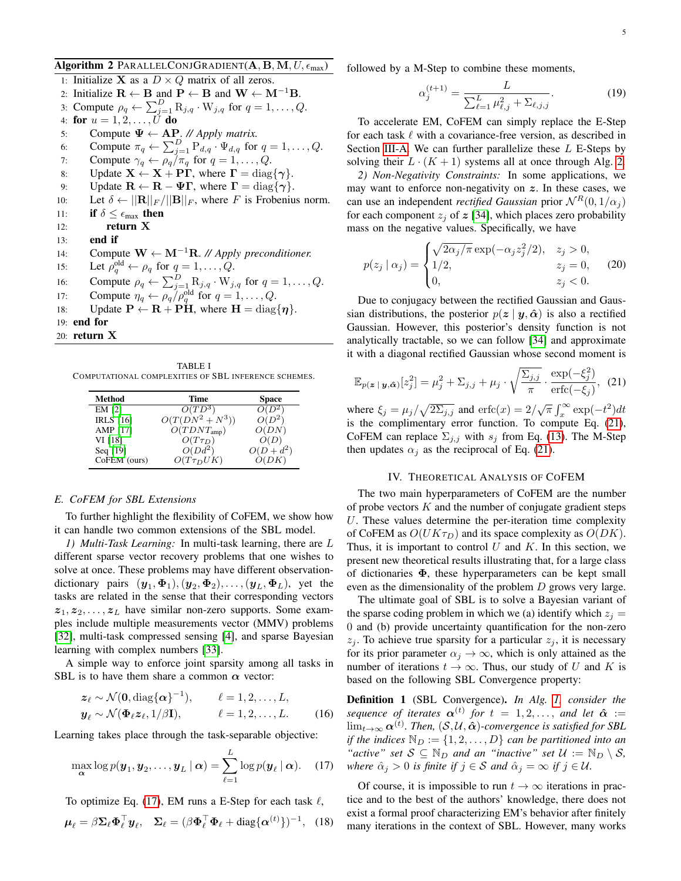- <span id="page-4-1"></span>Algorithm 2 PARALLELCONJGRADIENT(A, B, M,  $U, \epsilon_{\text{max}}$ ) 1: Initialize **X** as a  $D \times Q$  matrix of all zeros. 2: Initialize  $\mathbf{R} \leftarrow \mathbf{B}$  and  $\mathbf{P} \leftarrow \mathbf{B}$  and  $\mathbf{W} \leftarrow \mathbf{M}^{-1} \mathbf{B}$ . 3: Compute  $\rho_q \leftarrow \sum_{j=1}^D \mathrm{R}_{j,q} \cdot \mathrm{W}_{j,q}$  for  $q = 1, \ldots, Q$ . 4: for  $u=1,2,\ldots,U$  do 5: Compute  $\Psi \leftarrow AP$ . // Apply matrix. 6: Compute  $\pi_q \leftarrow \sum_{j=1}^D P_{d,q} \cdot \Psi_{d,q}$  for  $q = 1, \ldots, Q$ . 7: Compute  $\gamma_q \leftarrow \rho_q / \pi_q$  for  $q = 1, \ldots, Q$ . 8: Update  $X \leftarrow X + PT$ , where  $\Gamma = \text{diag}\{\gamma\}$ . 9: Update  $\mathbf{R} \leftarrow \mathbf{R} - \Psi \Gamma$ , where  $\Gamma = \text{diag}\{\gamma\}$ . 10: Let  $\delta \leftarrow ||\mathbf{R}||_F/||\mathbf{B}||_F$ , where F is Frobenius norm. 11: if  $\delta \leq \epsilon_{\text{max}}$  then 12: return X 13: end if 14: Compute W ← M−1R. *// Apply preconditioner.* 15: Let  $\rho_q^{\text{old}} \leftarrow \rho_q$  for  $q = 1, \ldots, Q$ . 16: Compute  $\rho_q \leftarrow \sum_{j=1}^D R_{j,q} \cdot W_{j,q}$  for  $q = 1, \ldots, Q$ .
- 17: Compute  $\eta_q \leftarrow \rho_q / \rho_q^{\text{old}}$  for  $q = 1, \dots, Q$ .
- 18: Update  $P \leftarrow R + P\hat{H}$ , where  $H = \text{diag}\{\eta\}$ .
- 19: end for
- 20: return X

<span id="page-4-2"></span>TABLE I COMPUTATIONAL COMPLEXITIES OF SBL INFERENCE SCHEMES.

| Method           | Time                | Space        |
|------------------|---------------------|--------------|
| EM [2]           | $O(TD^3)$           | $O(D^2)$     |
| <b>IRLS</b> [16] | $O(T(DN^2 + N^3))$  | $O(D^2)$     |
| AMP [17]         | $O(TDNT_{\rm amp})$ | O(DN)        |
| VI [18]          | $O(T\tau_D)$        | O(D)         |
| Seq [19]         | $O(Dd^2)$           | $O(D + d^2)$ |
| CoFEM (ours)     | $O(T\tau_D UK)$     | O(DK)        |

# *E. CoFEM for SBL Extensions*

To further highlight the flexibility of CoFEM, we show how it can handle two common extensions of the SBL model.

<span id="page-4-7"></span>*1) Multi-Task Learning:* In multi-task learning, there are L different sparse vector recovery problems that one wishes to solve at once. These problems may have different observationdictionary pairs  $(\mathbf{y}_1, \mathbf{\Phi}_1), (\mathbf{y}_2, \mathbf{\Phi}_2), \dots, (\mathbf{y}_L, \mathbf{\Phi}_L)$ , yet the tasks are related in the sense that their corresponding vectors  $z_1, z_2, \ldots, z_L$  have similar non-zero supports. Some examples include multiple measurements vector (MMV) problems [\[32\]](#page-12-30), multi-task compressed sensing [\[4\]](#page-12-11), and sparse Bayesian learning with complex numbers [\[33\]](#page-12-31).

A simple way to enforce joint sparsity among all tasks in SBL is to have them share a common  $\alpha$  vector:

$$
\mathbf{z}_{\ell} \sim \mathcal{N}(\mathbf{0}, \text{diag}\{\boldsymbol{\alpha}\}^{-1}), \qquad \ell = 1, 2, \dots, L,
$$
  

$$
\mathbf{y}_{\ell} \sim \mathcal{N}(\boldsymbol{\Phi}_{\ell} \mathbf{z}_{\ell}, 1/\beta \mathbf{I}), \qquad \ell = 1, 2, \dots, L.
$$
 (16)

Learning takes place through the task-separable objective:

$$
\max_{\mathbf{\alpha}} \log p(\boldsymbol{y}_1, \boldsymbol{y}_2, \dots, \boldsymbol{y}_L \mid \boldsymbol{\alpha}) = \sum_{\ell=1}^L \log p(\boldsymbol{y}_\ell \mid \boldsymbol{\alpha}). \quad (17)
$$

To optimize Eq. [\(17\)](#page-4-3), EM runs a E-Step for each task  $\ell$ ,

$$
\boldsymbol{\mu}_{\ell} = \beta \boldsymbol{\Sigma}_{\ell} \boldsymbol{\Phi}_{\ell}^{\top} \boldsymbol{y}_{\ell}, \quad \boldsymbol{\Sigma}_{\ell} = (\beta \boldsymbol{\Phi}_{\ell}^{\top} \boldsymbol{\Phi}_{\ell} + \text{diag}\{\boldsymbol{\alpha}^{(t)}\})^{-1}, \quad (18)
$$

followed by a M-Step to combine these moments,

$$
\alpha_j^{(t+1)} = \frac{L}{\sum_{\ell=1}^L \mu_{\ell,j}^2 + \sum_{\ell,j,j}}.
$$
\n(19)

To accelerate EM, CoFEM can simply replace the E-Step for each task  $\ell$  with a covariance-free version, as described in Section [III-A.](#page-2-3) We can further parallelize these  $L$  E-Steps by solving their  $L \cdot (K + 1)$  systems all at once through Alg. [2.](#page-4-1)

<span id="page-4-6"></span>*2) Non-Negativity Constraints:* In some applications, we may want to enforce non-negativity on  $z$ . In these cases, we can use an independent *rectified Gaussian* prior  $N^R(0, 1/\alpha_j)$ for each component  $z_i$  of  $z$  [\[34\]](#page-12-32), which places zero probability mass on the negative values. Specifically, we have

$$
p(z_j | \alpha_j) = \begin{cases} \sqrt{2\alpha_j/\pi} \exp(-\alpha_j z_j^2/2), & z_j > 0, \\ 1/2, & z_j = 0, \\ 0, & z_j < 0. \end{cases}
$$
 (20)

Due to conjugacy between the rectified Gaussian and Gaussian distributions, the posterior  $p(z | y, \hat{\alpha})$  is also a rectified Gaussian. However, this posterior's density function is not analytically tractable, so we can follow [\[34\]](#page-12-32) and approximate it with a diagonal rectified Gaussian whose second moment is

$$
\mathbb{E}_{p(\boldsymbol{z} \mid \boldsymbol{y}, \hat{\boldsymbol{\alpha}})}[z_j^2] = \mu_j^2 + \Sigma_{j,j} + \mu_j \cdot \sqrt{\frac{\Sigma_{j,j}}{\pi}} \cdot \frac{\exp(-\xi_j^2)}{\text{erfc}(-\xi_j)}, \tag{21}
$$

where  $\xi_j = \mu_j / \sqrt{2\Sigma_{j,j}}$  and  $\text{erfc}(x) = 2/\sqrt{\pi} \int_x^{\infty} \exp(-t^2) dt$ is the complimentary error function. To compute Eq. [\(21\)](#page-4-4), CoFEM can replace  $\Sigma_{i,j}$  with  $s_j$  from Eq. [\(13\)](#page-2-2). The M-Step then updates  $\alpha_i$  as the reciprocal of Eq. [\(21\)](#page-4-4).

#### <span id="page-4-4"></span>IV. THEORETICAL ANALYSIS OF COFEM

<span id="page-4-0"></span>The two main hyperparameters of CoFEM are the number of probe vectors  $K$  and the number of conjugate gradient steps U. These values determine the per-iteration time complexity of CoFEM as  $O(UK\tau_D)$  and its space complexity as  $O(DK)$ . Thus, it is important to control  $U$  and  $K$ . In this section, we present new theoretical results illustrating that, for a large class of dictionaries Φ, these hyperparameters can be kept small even as the dimensionality of the problem D grows very large.

The ultimate goal of SBL is to solve a Bayesian variant of the sparse coding problem in which we (a) identify which  $z_i =$ 0 and (b) provide uncertainty quantification for the non-zero  $z_i$ . To achieve true sparsity for a particular  $z_i$ , it is necessary for its prior parameter  $\alpha_j \to \infty$ , which is only attained as the number of iterations  $t \to \infty$ . Thus, our study of U and K is based on the following SBL Convergence property:

<span id="page-4-8"></span><span id="page-4-5"></span>Definition 1 (SBL Convergence). *In Alg. [1,](#page-3-0) consider the sequence of iterates*  $\boldsymbol{\alpha}^{(t)}$  for  $t = 1, 2, \ldots$ , *and let*  $\hat{\boldsymbol{\alpha}} :=$  $\lim_{t\to\infty} \boldsymbol{\alpha}^{(t)}.$  Then,  $(\mathcal{S}, \mathcal{U}, \boldsymbol{\hat{\alpha}})$ -convergence is satisfied for SBL *if the indices*  $\mathbb{N}_D := \{1, 2, \ldots, D\}$  *can be partitioned into an "active" set*  $S \subseteq \mathbb{N}_D$  *and an "inactive" set*  $\mathcal{U} := \mathbb{N}_D \setminus S$ , *where*  $\hat{\alpha}_j > 0$  *is finite if*  $j \in S$  *and*  $\hat{\alpha}_j = \infty$  *if*  $j \in \mathcal{U}$ *.* 

<span id="page-4-3"></span>Of course, it is impossible to run  $t \to \infty$  iterations in practice and to the best of the authors' knowledge, there does not exist a formal proof characterizing EM's behavior after finitely many iterations in the context of SBL. However, many works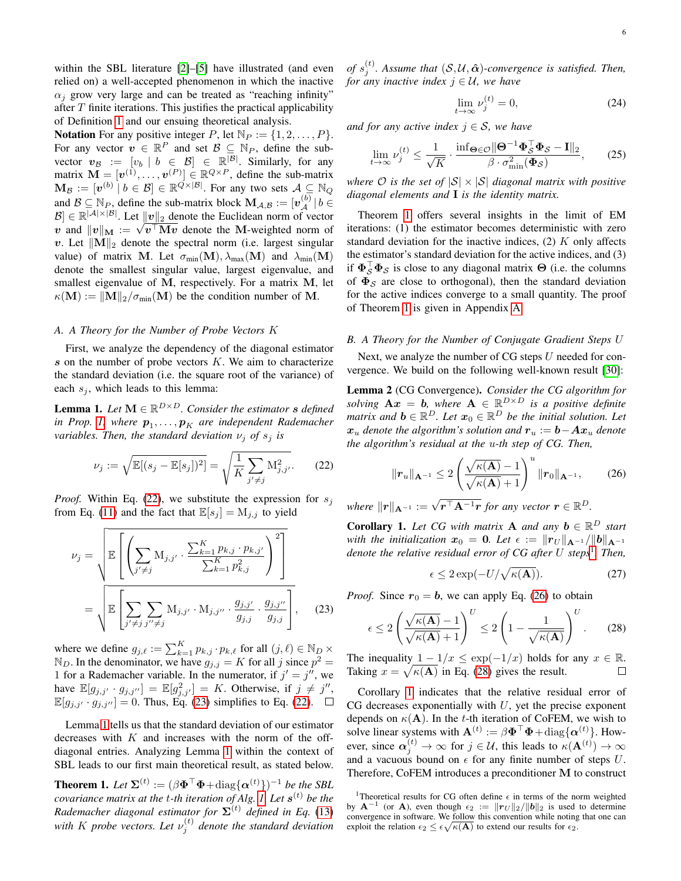within the SBL literature [\[2\]](#page-12-1)–[\[5\]](#page-12-3) have illustrated (and even relied on) a well-accepted phenomenon in which the inactive  $\alpha_i$  grow very large and can be treated as "reaching infinity" after  $T$  finite iterations. This justifies the practical applicability of Definition [1](#page-4-5) and our ensuing theoretical analysis.

**Notation** For any positive integer P, let  $\mathbb{N}_P := \{1, 2, \ldots, P\}.$ For any vector  $v \in \mathbb{R}^P$  and set  $\mathcal{B} \subseteq \mathbb{N}_P$ , define the subvector  $v_{\mathcal{B}} := [v_b \mid b \in \mathcal{B}] \in \mathbb{R}^{|\mathcal{B}|}$ . Similarly, for any matrix  $\mathbf{M} = [\boldsymbol{v}^{(1)}, \dots, \boldsymbol{v}^{(P)}] \in \mathbb{R}^{Q \times P}$ , define the sub-matrix  $\mathbf{M}_{\mathcal{B}} := [\boldsymbol{v}^{(b)} \mid b \in \mathcal{B}] \in \mathbb{R}^{\mathcal{Q} \times |\mathcal{B}|}$ . For any two sets  $\mathcal{A} \subseteq \mathbb{N}_{Q}$ and  $\mathcal{B} \subseteq \mathbb{N}_P$ , define the sub-matrix block  $\mathbf{M}_{\mathcal{A},\mathcal{B}} := [\mathbf{v}_{\mathcal{A}}^{(b)} | b \in$  $\mathcal{B} \in \mathbb{R}^{|\mathcal{A}| \times |\mathcal{B}|}$ . Let  $||v||_2$  denote the Euclidean norm of vector  $\mathcal{B} \in \mathbb{R}^{\{v\}\}\times\{v\}}$ . Let  $\|\mathbf{v}\|_2$  denote the Euclidean norm of vector <br>v and  $\|\mathbf{v}\|_{\mathbf{M}} := \sqrt{\mathbf{v}^\top \mathbf{M} \mathbf{v}}$  denote the M-weighted norm of v. Let  $\|\mathbf{M}\|_2$  denote the spectral norm (i.e. largest singular value) of matrix M. Let  $\sigma_{min}(\mathbf{M}), \lambda_{max}(\mathbf{M})$  and  $\lambda_{min}(\mathbf{M})$ denote the smallest singular value, largest eigenvalue, and smallest eigenvalue of M, respectively. For a matrix M, let  $\kappa(\mathbf{M}) := ||\mathbf{M}||_2/\sigma_{\min}(\mathbf{M})$  be the condition number of M.

# <span id="page-5-0"></span>*A. A Theory for the Number of Probe Vectors* K

First, we analyze the dependency of the diagonal estimator  $s$  on the number of probe vectors  $K$ . We aim to characterize the standard deviation (i.e. the square root of the variance) of each  $s_i$ , which leads to this lemma:

<span id="page-5-4"></span>**Lemma 1.** Let  $M \in \mathbb{R}^{D \times D}$ . Consider the estimator **s** defined in Prop. [1,](#page-2-1) where  $p_1, \ldots, p_K$  are independent Rademacher *variables. Then, the standard deviation*  $\nu_j$  *of*  $s_j$  *is* 

$$
\nu_j := \sqrt{\mathbb{E}[(s_j - \mathbb{E}[s_j])^2]} = \sqrt{\frac{1}{K} \sum_{j' \neq j} M_{j,j'}^2}.
$$
 (22)

*Proof.* Within Eq. [\(22\)](#page-5-2), we substitute the expression for  $s_i$ from Eq. [\(11\)](#page-2-4) and the fact that  $\mathbb{E}[s_j] = M_{j,j}$  to yield

$$
\nu_{j} = \sqrt{\mathbb{E}\left[\left(\sum_{j' \neq j} M_{j,j'} \cdot \frac{\sum_{k=1}^{K} p_{k,j} \cdot p_{k,j'}}{\sum_{k=1}^{K} p_{k,j}^{2}}\right)^{2}\right]}
$$

$$
= \sqrt{\mathbb{E}\left[\sum_{j' \neq j} \sum_{j'' \neq j'} M_{j,j'} \cdot M_{j,j''} \cdot \frac{g_{j,j'}}{g_{j,j}} \cdot \frac{g_{j,j''}}{g_{j,j}}\right]},
$$
(23)

where we define  $g_{j,\ell} := \sum_{k=1}^K p_{k,j} \cdot p_{k,\ell}$  for all  $(j,\ell) \in \mathbb{N}_D \times$  $\mathbb{N}_D$ . In the denominator, we have  $g_{j,j} = K$  for all j since  $p^2 =$ 1 for a Rademacher variable. In the numerator, if  $j' = j''$ , we have  $\mathbb{E}[g_{j,j'} \cdot g_{j,j''}] = \mathbb{E}[g_{j,j'}^2] = K$ . Otherwise, if  $j \neq j''$ ,  $\mathbb{E}[g_{j,j'} \cdot g_{j,j''}] = 0$ . Thus, Eq. [\(23\)](#page-5-3) simplifies to Eq. [\(22\)](#page-5-2).  $\Box$ 

Lemma [1](#page-5-4) tells us that the standard deviation of our estimator decreases with  $K$  and increases with the norm of the offdiagonal entries. Analyzing Lemma [1](#page-5-4) within the context of SBL leads to our first main theoretical result, as stated below.

<span id="page-5-5"></span>**Theorem 1.** Let  $\mathbf{\Sigma}^{(t)} := (\beta \mathbf{\Phi}^\top \mathbf{\Phi} + \text{diag}\{\boldsymbol{\alpha}^{(t)}\})^{-1}$  be the SBL *covariance matrix at the* t*-th iteration of Alg. [1.](#page-3-0) Let* s (t) *be the Rademacher diagonal estimator for*  $\Sigma^{(t)}$  *defined in Eq.* [\(13\)](#page-2-2) with *K* probe vectors. Let  $v_j^{(t)}$  denote the standard deviation

*of*  $s_j^{(t)}$ . Assume that  $(S, \mathcal{U}, \hat{\boldsymbol{\alpha}})$ -convergence is satisfied. Then, *for any inactive index*  $j \in \mathcal{U}$ *, we have* 

<span id="page-5-11"></span><span id="page-5-10"></span>
$$
\lim_{t \to \infty} \nu_j^{(t)} = 0,\tag{24}
$$

*and for any active index*  $j \in S$ *, we have* 

$$
\lim_{t \to \infty} \nu_j^{(t)} \le \frac{1}{\sqrt{K}} \cdot \frac{\inf_{\Theta \in \mathcal{O}} \|\Theta^{-1} \Phi_S^{\top} \Phi_S - \mathbf{I}\|_2}{\beta \cdot \sigma_{\min}^2(\Phi_S)},\tag{25}
$$

*where*  $\mathcal O$  *is the set of*  $|\mathcal S| \times |\mathcal S|$  *diagonal matrix with positive diagonal elements and* I *is the identity matrix.*

Theorem [1](#page-5-5) offers several insights in the limit of EM iterations: (1) the estimator becomes deterministic with zero standard deviation for the inactive indices,  $(2)$  K only affects the estimator's standard deviation for the active indices, and (3) if  $\Phi_{\mathcal{S}}^{\top} \Phi_{\mathcal{S}}$  is close to any diagonal matrix  $\Theta$  (i.e. the columns of  $\Phi_{\mathcal{S}}$  are close to orthogonal), then the standard deviation for the active indices converge to a small quantity. The proof of Theorem [1](#page-5-5) is given in Appendix [A.](#page-11-0)

#### <span id="page-5-1"></span>*B. A Theory for the Number of Conjugate Gradient Steps* U

Next, we analyze the number of CG steps U needed for convergence. We build on the following well-known result [\[30\]](#page-12-28):

Lemma 2 (CG Convergence). *Consider the CG algorithm for solving*  $\mathbf{A} \mathbf{x} = \mathbf{b}$ , where  $\mathbf{A} \in \mathbb{R}^{D \times D}$  *is a positive definite matrix and*  $\mathbf{b} \in \mathbb{R}^D$ . Let  $\mathbf{x}_0 \in \mathbb{R}^D$  be the initial solution. Let  $x_u$  *denote the algorithm's solution and*  $r_u := b - Ax_u$  *denote the algorithm's residual at the* u*-th step of CG. Then,*

$$
\|\bm{r}_{u}\|_{\mathbf{A}^{-1}} \leq 2\left(\frac{\sqrt{\kappa(\mathbf{A})}-1}{\sqrt{\kappa(\mathbf{A})}+1}\right)^{u} \|\bm{r}_{0}\|_{\mathbf{A}^{-1}}, \qquad (26)
$$

<span id="page-5-2"></span>*where*  $||r||_{\mathbf{A}^{-1}} := \sqrt{r^{\top} \mathbf{A}^{-1} r}$  *for any vector*  $r \in \mathbb{R}^{D}$ *.* 

<span id="page-5-9"></span>**Corollary 1.** Let CG with matrix **A** and any  $\mathbf{b} \in \mathbb{R}^D$  start *with the initialization*  $x_0 = 0$ *. Let*  $\epsilon := ||r_U||_{A^{-1}} / ||b||_{A^{-1}}$ *denote the relative residual error of CG after* U *steps*[1](#page-5-6) *. Then,*

<span id="page-5-12"></span><span id="page-5-8"></span><span id="page-5-7"></span>
$$
\epsilon \le 2\exp(-U/\sqrt{\kappa(\mathbf{A})}).\tag{27}
$$

<span id="page-5-3"></span>*Proof.* Since  $r_0 = b$ , we can apply Eq. [\(26\)](#page-5-7) to obtain

$$
\epsilon \le 2 \left( \frac{\sqrt{\kappa(\mathbf{A})} - 1}{\sqrt{\kappa(\mathbf{A})} + 1} \right)^U \le 2 \left( 1 - \frac{1}{\sqrt{\kappa(\mathbf{A})}} \right)^U. \tag{28}
$$

The inequality  $1 - 1/x \le \exp(-1/x)$  holds for any  $x \in \mathbb{R}$ . Taking  $x = \sqrt{\kappa(A)}$  in Eq. [\(28\)](#page-5-8) gives the result.  $\Box$ 

Corollary [1](#page-5-9) indicates that the relative residual error of CG decreases exponentially with  $U$ , yet the precise exponent depends on  $\kappa(A)$ . In the t-th iteration of CoFEM, we wish to solve linear systems with  $\mathbf{A}^{(t)} := \beta \mathbf{\Phi}^\top \mathbf{\Phi} + \text{diag}\{\mathbf{\alpha}^{(t)}\}\)$ . However, since  $\alpha_j^{(t)} \to \infty$  for  $j \in \mathcal{U}$ , this leads to  $\kappa(\mathbf{A}^{(t)}) \to \infty$ and a vacuous bound on  $\epsilon$  for any finite number of steps U. Therefore, CoFEM introduces a preconditioner M to construct

<span id="page-5-6"></span><sup>&</sup>lt;sup>1</sup>Theoretical results for CG often define  $\epsilon$  in terms of the norm weighted by  $\mathbf{A}^{-1}$  (or  $\mathbf{A}$ ), even though  $\epsilon_2 := ||\mathbf{r}_U||_2/||\mathbf{b}||_2$  is used to determine convergence in software. We follow this convention while noting that one can exploit the relation  $\epsilon_2 \leq \epsilon \sqrt{\kappa(\mathbf{A})}$  to extend our results for  $\epsilon_2$ .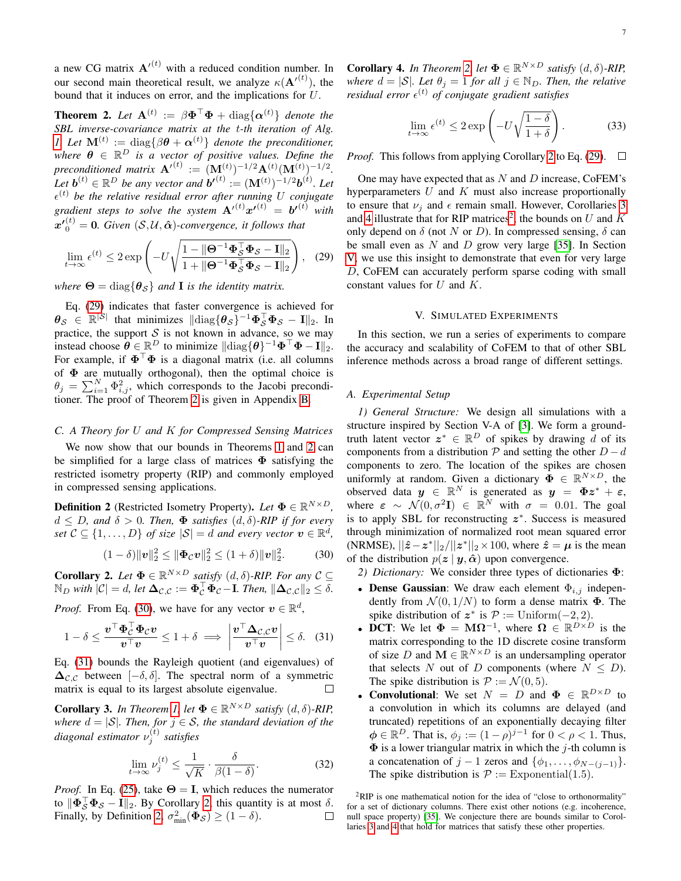a new CG matrix  $\mathbf{A}'^{(t)}$  with a reduced condition number. In our second main theoretical result, we analyze  $\kappa(\mathbf{A}^{(t)})$ , the bound that it induces on error, and the implications for U.

<span id="page-6-2"></span>**Theorem 2.** Let  $\mathbf{A}^{(t)} := \beta \mathbf{\Phi}^\top \mathbf{\Phi} + \text{diag}\{\boldsymbol{\alpha}^{(t)}\}\$  denote the *SBL inverse-covariance matrix at the* t*-th iteration of Alg. [1.](#page-3-0) Let*  $\mathbf{M}^{(t)} := \text{diag}\{\beta \boldsymbol{\theta} + \boldsymbol{\alpha}^{(t)}\}\$  *denote the preconditioner,* where  $\boldsymbol{\theta} \in \mathbb{R}^D$  is a vector of positive values. Define the  $\mathsf{preconditioned}$  matrix  $\mathbf{A}'^{(t)} := (\mathbf{M}^{(t)})^{-1/2} \mathbf{A}^{(t)} (\mathbf{M}^{(t)})^{-1/2}.$ Let  $\mathbf{b}^{(t)} \in \mathbb{R}^D$  be any vector and  $\mathbf{b'}^{(t)} := (\mathbf{M}^{(t)})^{-1/2} \mathbf{b}^{(t)}$ . Let  $\epsilon^{(t)}$  *be the relative residual error after running* U *conjugate* gradient steps to solve the system  ${\bf A'}^{(t)} {\bf x'}^{(t)} = {\bf b'}^{(t)}$  with  $x'{}_{0}^{(t)} = 0$ . Given  $(S, \mathcal{U}, \hat{\alpha})$ -convergence, it follows that

$$
\lim_{t \to \infty} \epsilon^{(t)} \le 2 \exp\left(-U \sqrt{\frac{1 - \|\mathbf{\Theta}^{-1}\mathbf{\Phi}_{\mathcal{S}}^{\top}\mathbf{\Phi}_{\mathcal{S}} - \mathbf{I}\|_2}{1 + \|\mathbf{\Theta}^{-1}\mathbf{\Phi}_{\mathcal{S}}^{\top}\mathbf{\Phi}_{\mathcal{S}} - \mathbf{I}\|_2}}\right), \quad (29)
$$

*where*  $\Theta = \text{diag}\{\theta_{\mathcal{S}}\}$  *and* **I** *is the identity matrix.* 

Eq. [\(29\)](#page-6-1) indicates that faster convergence is achieved for  $\bm{\theta}_{\mathcal{S}} \in \mathbb{R}^{|\mathcal{S}|}$  that minimizes  $\|\text{diag}\{\bm{\theta}_{\mathcal{S}}\}^{-1}\bm{\Phi}_{\mathcal{S}}^{\top}\bm{\Phi}_{\mathcal{S}} - \mathbf{I}\|_2$ . In practice, the support  $S$  is not known in advance, so we may instead choose  $\boldsymbol{\theta} \in \mathbb{R}^D$  to minimize  $\|\text{diag}\{\boldsymbol{\theta}\}^{-1}\boldsymbol{\Phi}^\top \boldsymbol{\Phi} - \mathbf{I}\|_2$ . For example, if  $\mathbf{\Phi}^{\top} \mathbf{\Phi}$  is a diagonal matrix (i.e. all columns of  $\Phi$  are mutually orthogonal), then the optimal choice is  $\theta_j = \sum_{i=1}^N \Phi_{i,j}^2$ , which corresponds to the Jacobi preconditioner. The proof of Theorem [2](#page-6-2) is given in Appendix [B.](#page-11-1)

#### *C. A Theory for* U *and* K *for Compressed Sensing Matrices*

We now show that our bounds in Theorems [1](#page-5-5) and [2](#page-6-2) can be simplified for a large class of matrices  $\Phi$  satisfying the restricted isometry property (RIP) and commonly employed in compressed sensing applications.

<span id="page-6-6"></span>**Definition 2** (Restricted Isometry Property). Let  $\mathbf{\Phi} \in \mathbb{R}^{N \times D}$ ,  $d \leq D$ , and  $\delta > 0$ . Then,  $\Phi$  satisfies  $(d, \delta)$ -RIP if for every *set*  $C \subseteq \{1, ..., D\}$  *of size*  $|\mathcal{S}| = d$  *and every vector*  $\boldsymbol{v} \in \mathbb{R}^d$ *,* 

$$
(1 - \delta) ||\mathbf{v}||_2^2 \le ||\mathbf{\Phi}_C \mathbf{v}||_2^2 \le (1 + \delta) ||\mathbf{v}||_2^2. \tag{30}
$$

<span id="page-6-5"></span>**Corollary 2.** Let  $\Phi \in \mathbb{R}^{N \times D}$  satisfy  $(d, \delta)$ -RIP. For any  $C \subseteq$  $\mathbb{N}_D$  with  $|\mathcal{C}| = d$ , let  $\mathbf{\Delta}_{\mathcal{C},\mathcal{C}} := \mathbf{\Phi}_{\mathcal{C}}^\top \mathbf{\Phi}_{\mathcal{C}} - \mathbf{I}$ . Then,  $\|\mathbf{\Delta}_{\mathcal{C},\mathcal{C}}\|_2 \leq \delta$ .

*Proof.* From Eq. [\(30\)](#page-6-3), we have for any vector  $v \in \mathbb{R}^d$ ,

$$
1 - \delta \le \frac{\boldsymbol{v}^\top \boldsymbol{\Phi}_\mathcal{C}^\top \boldsymbol{\Phi}_\mathcal{C} \boldsymbol{v}}{\boldsymbol{v}^\top \boldsymbol{v}} \le 1 + \delta \implies \left| \frac{\boldsymbol{v}^\top \boldsymbol{\Delta}_{\mathcal{C},\mathcal{C}} \boldsymbol{v}}{\boldsymbol{v}^\top \boldsymbol{v}} \right| \le \delta. \quad (31)
$$

Eq. [\(31\)](#page-6-4) bounds the Rayleigh quotient (and eigenvalues) of  $\Delta_{\mathcal{C},\mathcal{C}}$  between  $[-\delta,\delta]$ . The spectral norm of a symmetric matrix is equal to its largest absolute eigenvalue.  $\Box$ 

<span id="page-6-7"></span>**Corollary 3.** In Theorem [1,](#page-5-5) let  $\mathbf{\Phi} \in \mathbb{R}^{N \times D}$  satisfy  $(d, \delta)$ -RIP, *where*  $d = |\mathcal{S}|$ *. Then, for*  $j \in \mathcal{S}$ *, the standard deviation of the diagonal estimator*  $ν_j^{(t)}$  *satisfies* 

$$
\lim_{t \to \infty} \nu_j^{(t)} \le \frac{1}{\sqrt{K}} \cdot \frac{\delta}{\beta(1-\delta)}.
$$
\n(32)

*Proof.* In Eq. [\(25\)](#page-5-10), take  $\Theta = I$ , which reduces the numerator to  $\|\mathbf{\Phi}_{\mathcal{S}}^{\top} \mathbf{\Phi}_{\mathcal{S}} - \mathbf{I}\|_2$ . By Corollary [2,](#page-6-5) this quantity is at most  $\delta$ . Finally, by Definition [2,](#page-6-6)  $\sigma_{\min}^2(\Phi_{\mathcal{S}}) \ge (1 - \delta)$ .  $\Box$ 

<span id="page-6-8"></span>**Corollary 4.** In Theorem [2,](#page-6-2) let  $\Phi \in \mathbb{R}^{N \times D}$  satisfy  $(d, \delta)$ -RIP, *where*  $d = |\mathcal{S}|$ *. Let*  $\theta_i = 1$  *for all*  $i \in \mathbb{N}_D$ *. Then, the relative residual error* (t) *of conjugate gradient satisfies*

$$
\lim_{t \to \infty} \epsilon^{(t)} \le 2 \exp\left(-U\sqrt{\frac{1-\delta}{1+\delta}}\right). \tag{33}
$$

*Proof.* This follows from applying Corollary [2](#page-6-5) to Eq. [\(29\)](#page-6-1).  $\Box$ 

<span id="page-6-1"></span>One may have expected that as  $N$  and  $D$  increase, CoFEM's hyperparameters  $U$  and  $K$  must also increase proportionally to ensure that  $\nu_i$  and  $\epsilon$  remain small. However, Corollaries [3](#page-6-7) and [4](#page-6-8) illustrate that for RIP matrices<sup>[2](#page-6-9)</sup>, the bounds on U and K only depend on  $\delta$  (not N or D). In compressed sensing,  $\delta$  can be small even as  $N$  and  $D$  grow very large [\[35\]](#page-12-33). In Section [V,](#page-6-0) we use this insight to demonstrate that even for very large D, CoFEM can accurately perform sparse coding with small constant values for  $U$  and  $K$ .

#### V. SIMULATED EXPERIMENTS

<span id="page-6-0"></span>In this section, we run a series of experiments to compare the accuracy and scalability of CoFEM to that of other SBL inference methods across a broad range of different settings.

# <span id="page-6-10"></span>*A. Experimental Setup*

*1) General Structure:* We design all simulations with a structure inspired by Section V-A of [\[3\]](#page-12-2). We form a groundtruth latent vector  $z^* \in \mathbb{R}^D$  of spikes by drawing d of its components from a distribution  $\mathcal P$  and setting the other  $D - d$ components to zero. The location of the spikes are chosen uniformly at random. Given a dictionary  $\bar{\mathbf{\Phi}} \in \mathbb{R}^{N \times D}$ , the observed data  $y \in \mathbb{R}^N$  is generated as  $y = \Phi z^* + \varepsilon$ , where  $\varepsilon \sim \mathcal{N}(0, \sigma^2 \mathbf{I}) \in \mathbb{R}^N$  with  $\sigma = 0.01$ . The goal is to apply SBL for reconstructing  $z^*$ . Success is measured through minimization of normalized root mean squared error (NRMSE),  $||\hat{z} - z^*||_2 / ||z^*||_2 \times 100$ , where  $\hat{z} = \mu$  is the mean of the distribution  $p(z | y, \hat{\alpha})$  upon convergence.

<span id="page-6-11"></span><span id="page-6-3"></span>*2) Dictionary:* We consider three types of dictionaries Φ:

- Dense Gaussian: We draw each element  $\Phi_{i,j}$  independently from  $\mathcal{N}(0, 1/N)$  to form a dense matrix  $\Phi$ . The spike distribution of  $z^*$  is  $\mathcal{P} :=$  Uniform $(-2, 2)$ .
- <span id="page-6-4"></span>• DCT: We let  $\Phi = \mathbf{M}\Omega^{-1}$ , where  $\Omega \in \mathbb{R}^{D\times D}$  is the matrix corresponding to the 1D discrete cosine transform of size D and  $\mathbf{M} \in \mathbb{R}^{N \times D}$  is an undersampling operator that selects N out of D components (where  $N \leq D$ ). The spike distribution is  $P := \mathcal{N}(0, 5)$ .
- Convolutional: We set  $N = D$  and  $\Phi \in \mathbb{R}^{D \times D}$  to a convolution in which its columns are delayed (and truncated) repetitions of an exponentially decaying filter  $\phi \in \mathbb{R}^D$ . That is,  $\phi_j := (1 - \rho)^{j-1}$  for  $0 < \rho < 1$ . Thus,  $\Phi$  is a lower triangular matrix in which the *j*-th column is a concatenation of  $j - 1$  zeros and  $\{\phi_1, \ldots, \phi_{N-(j-1)}\}.$ The spike distribution is  $P := \text{Exponential}(1.5)$ .

<span id="page-6-9"></span><sup>&</sup>lt;sup>2</sup>RIP is one mathematical notion for the idea of "close to orthonormality" for a set of dictionary columns. There exist other notions (e.g. incoherence, null space property) [\[35\]](#page-12-33). We conjecture there are bounds similar to Corollaries [3](#page-6-7) and [4](#page-6-8) that hold for matrices that satisfy these other properties.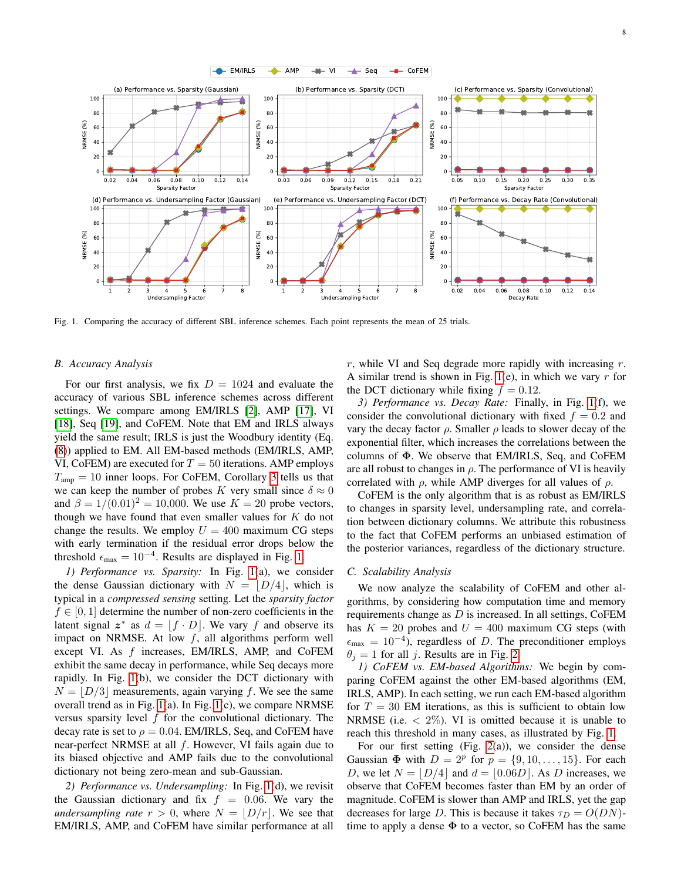

<span id="page-7-0"></span>Fig. 1. Comparing the accuracy of different SBL inference schemes. Each point represents the mean of 25 trials.

### *B. Accuracy Analysis*

For our first analysis, we fix  $D = 1024$  and evaluate the accuracy of various SBL inference schemes across different settings. We compare among EM/IRLS [\[2\]](#page-12-1), AMP [\[17\]](#page-12-16), VI [\[18\]](#page-12-17), Seq [\[19\]](#page-12-18), and CoFEM. Note that EM and IRLS always yield the same result; IRLS is just the Woodbury identity (Eq. [\(8\)](#page-1-7)) applied to EM. All EM-based methods (EM/IRLS, AMP, VI, CoFEM) are executed for  $T = 50$  iterations. AMP employs  $T_{\text{amp}} = 10$  inner loops. For CoFEM, Corollary [3](#page-6-7) tells us that we can keep the number of probes K very small since  $\delta \approx 0$ and  $\beta = 1/(0.01)^2 = 10{,}000$ . We use  $K = 20$  probe vectors, though we have found that even smaller values for  $K$  do not change the results. We employ  $U = 400$  maximum CG steps with early termination if the residual error drops below the threshold  $\epsilon_{\text{max}} = 10^{-4}$ . Results are displayed in Fig. [1.](#page-7-0)

*1) Performance vs. Sparsity:* In Fig. [1\(](#page-7-0)a), we consider the dense Gaussian dictionary with  $N = |D/4|$ , which is typical in a *compressed sensing* setting. Let the *sparsity factor*  $f \in [0, 1]$  determine the number of non-zero coefficients in the latent signal  $z^*$  as  $d = [f \cdot D]$ . We vary f and observe its impact on NRMSE. At low  $f$ , all algorithms perform well except VI. As f increases, EM/IRLS, AMP, and CoFEM exhibit the same decay in performance, while Seq decays more rapidly. In Fig. [1\(](#page-7-0)b), we consider the DCT dictionary with  $N = |D/3|$  measurements, again varying f. We see the same overall trend as in Fig. [1\(](#page-7-0)a). In Fig. [1\(](#page-7-0)c), we compare NRMSE versus sparsity level  $f$  for the convolutional dictionary. The decay rate is set to  $\rho = 0.04$ . EM/IRLS, Seq, and CoFEM have near-perfect NRMSE at all  $f$ . However, VI fails again due to its biased objective and AMP fails due to the convolutional dictionary not being zero-mean and sub-Gaussian.

*2) Performance vs. Undersampling:* In Fig. [1\(](#page-7-0)d), we revisit the Gaussian dictionary and fix  $f = 0.06$ . We vary the *undersampling rate*  $r > 0$ , where  $N = |D/r|$ . We see that EM/IRLS, AMP, and CoFEM have similar performance at all

 $r$ , while VI and Seq degrade more rapidly with increasing  $r$ . A similar trend is shown in Fig. [1\(](#page-7-0)e), in which we vary  $r$  for the DCT dictionary while fixing  $f = 0.12$ .

*3) Performance vs. Decay Rate:* Finally, in Fig. [1\(](#page-7-0)f), we consider the convolutional dictionary with fixed  $f = 0.2$  and vary the decay factor  $\rho$ . Smaller  $\rho$  leads to slower decay of the exponential filter, which increases the correlations between the columns of  $\Phi$ . We observe that EM/IRLS, Seq, and CoFEM are all robust to changes in  $\rho$ . The performance of VI is heavily correlated with  $\rho$ , while AMP diverges for all values of  $\rho$ .

CoFEM is the only algorithm that is as robust as EM/IRLS to changes in sparsity level, undersampling rate, and correlation between dictionary columns. We attribute this robustness to the fact that CoFEM performs an unbiased estimation of the posterior variances, regardless of the dictionary structure.

#### *C. Scalability Analysis*

We now analyze the scalability of CoFEM and other algorithms, by considering how computation time and memory requirements change as  $D$  is increased. In all settings, CoFEM has  $K = 20$  probes and  $U = 400$  maximum CG steps (with  $\epsilon_{\text{max}} = 10^{-4}$ ), regardless of D. The preconditioner employs  $\theta_j = 1$  for all j. Results are in Fig. [2.](#page-8-0)

*1) CoFEM vs. EM-based Algorithms:* We begin by comparing CoFEM against the other EM-based algorithms (EM, IRLS, AMP). In each setting, we run each EM-based algorithm for  $T = 30$  EM iterations, as this is sufficient to obtain low NRMSE (i.e.  $\langle 2\% \rangle$ ). VI is omitted because it is unable to reach this threshold in many cases, as illustrated by Fig. [1.](#page-7-0)

For our first setting (Fig. [2\(](#page-8-0)a)), we consider the dense Gaussian  $\Phi$  with  $D = 2^p$  for  $p = \{9, 10, \ldots, 15\}$ . For each D, we let  $N = |D/4|$  and  $d = |0.06D|$ . As D increases, we observe that CoFEM becomes faster than EM by an order of magnitude. CoFEM is slower than AMP and IRLS, yet the gap decreases for large D. This is because it takes  $\tau_D = O(DN)$ time to apply a dense  $\Phi$  to a vector, so CoFEM has the same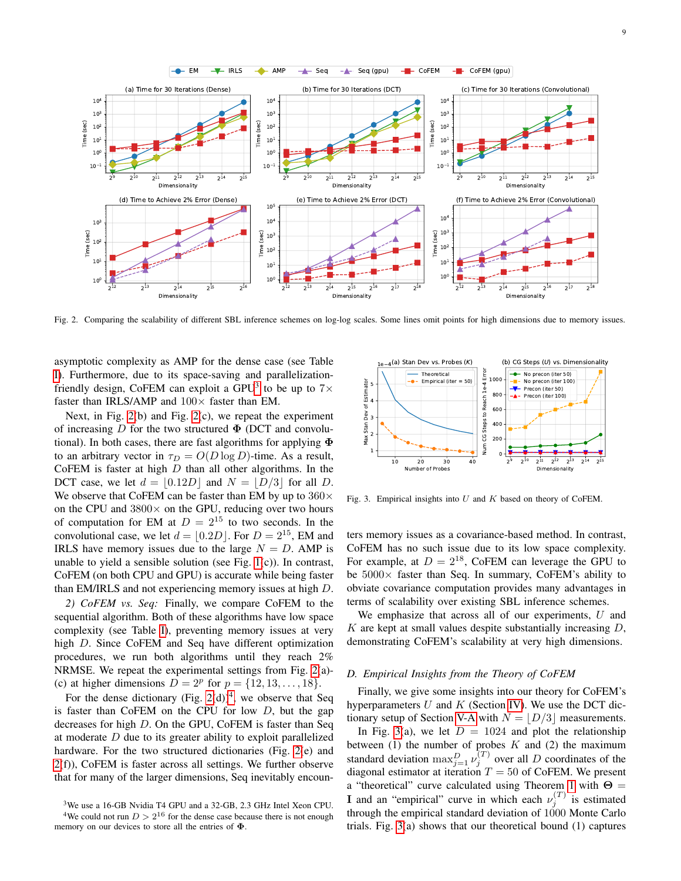

<span id="page-8-0"></span>Fig. 2. Comparing the scalability of different SBL inference schemes on log-log scales. Some lines omit points for high dimensions due to memory issues.

asymptotic complexity as AMP for the dense case (see Table [I\)](#page-4-2). Furthermore, due to its space-saving and parallelization-friendly design, CoFEM can exploit a GPU<sup>[3](#page-8-1)</sup> to be up to  $7\times$ faster than IRLS/AMP and  $100\times$  faster than EM.

Next, in Fig. [2\(](#page-8-0)b) and Fig. [2\(](#page-8-0)c), we repeat the experiment of increasing D for the two structured  $\Phi$  (DCT and convolutional). In both cases, there are fast algorithms for applying  $\Phi$ to an arbitrary vector in  $\tau_D = O(D \log D)$ -time. As a result, CoFEM is faster at high  $D$  than all other algorithms. In the DCT case, we let  $d = |0.12D|$  and  $N = |D/3|$  for all D. We observe that CoFEM can be faster than EM by up to  $360\times$ on the CPU and  $3800 \times$  on the GPU, reducing over two hours of computation for EM at  $D = 2^{15}$  to two seconds. In the convolutional case, we let  $d = \lfloor 0.2D \rfloor$ . For  $D = 2^{15}$ , EM and IRLS have memory issues due to the large  $N = D$ . AMP is unable to yield a sensible solution (see Fig. [1\(](#page-7-0)c)). In contrast, CoFEM (on both CPU and GPU) is accurate while being faster than EM/IRLS and not experiencing memory issues at high D.

*2) CoFEM vs. Seq:* Finally, we compare CoFEM to the sequential algorithm. Both of these algorithms have low space complexity (see Table [I\)](#page-4-2), preventing memory issues at very high D. Since CoFEM and Seq have different optimization procedures, we run both algorithms until they reach 2% NRMSE. We repeat the experimental settings from Fig. [2\(](#page-8-0)a)- (c) at higher dimensions  $D = 2^p$  for  $p = \{12, 13, ..., 18\}$ .

For the dense dictionary (Fig.  $2(d)$ )<sup>[4](#page-8-2)</sup>, we observe that Seq is faster than CoFEM on the CPU for low  $D$ , but the gap decreases for high D. On the GPU, CoFEM is faster than Seq at moderate D due to its greater ability to exploit parallelized hardware. For the two structured dictionaries (Fig. [2\(](#page-8-0)e) and [2\(](#page-8-0)f)), CoFEM is faster across all settings. We further observe that for many of the larger dimensions, Seq inevitably encoun-



<span id="page-8-3"></span>Fig. 3. Empirical insights into  $U$  and  $K$  based on theory of CoFEM.

ters memory issues as a covariance-based method. In contrast, CoFEM has no such issue due to its low space complexity. For example, at  $D = 2^{18}$ , CoFEM can leverage the GPU to be  $5000\times$  faster than Seq. In summary, CoFEM's ability to obviate covariance computation provides many advantages in terms of scalability over existing SBL inference schemes.

We emphasize that across all of our experiments,  $U$  and K are kept at small values despite substantially increasing  $D$ , demonstrating CoFEM's scalability at very high dimensions.

### *D. Empirical Insights from the Theory of CoFEM*

Finally, we give some insights into our theory for CoFEM's hyperparameters  $U$  and  $K$  (Section [IV\)](#page-4-0). We use the DCT dic-tionary setup of Section [V-A](#page-6-10) with  $N = |D/3|$  measurements.

In Fig. [3\(](#page-8-3)a), we let  $D = 1024$  and plot the relationship between  $(1)$  the number of probes K and  $(2)$  the maximum standard deviation  $\max_{j=1}^{D} \nu_j^{(T)}$  over all D coordinates of the diagonal estimator at iteration  $T = 50$  of CoFEM. We present a "theoretical" curve calculated using Theorem [1](#page-5-5) with  $\Theta =$ **I** and an "empirical" curve in which each  $\nu_j^{(T)}$  is estimated through the empirical standard deviation of  $1000$  Monte Carlo trials. Fig. [3\(](#page-8-3)a) shows that our theoretical bound (1) captures

<span id="page-8-2"></span><span id="page-8-1"></span><sup>3</sup>We use a 16-GB Nvidia T4 GPU and a 32-GB, 2.3 GHz Intel Xeon CPU. <sup>4</sup>We could not run  $D > 2^{16}$  for the dense case because there is not enough memory on our devices to store all the entries of  $\Phi$ .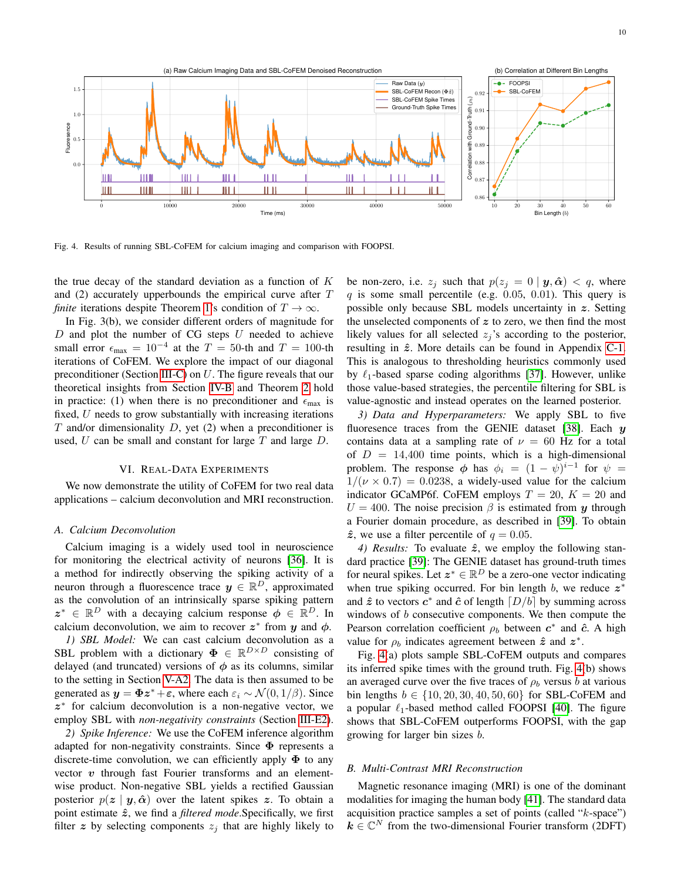

<span id="page-9-1"></span>Fig. 4. Results of running SBL-CoFEM for calcium imaging and comparison with FOOPSI.

the true decay of the standard deviation as a function of  $K$ and (2) accurately upperbounds the empirical curve after T *finite* iterations despite Theorem [1'](#page-5-5)s condition of  $T \to \infty$ .

In Fig. 3(b), we consider different orders of magnitude for  $D$  and plot the number of CG steps  $U$  needed to achieve small error  $\epsilon_{\text{max}} = 10^{-4}$  at the  $T = 50$ -th and  $T = 100$ -th iterations of CoFEM. We explore the impact of our diagonal preconditioner (Section [III-C\)](#page-3-1) on U. The figure reveals that our theoretical insights from Section [IV-B](#page-5-1) and Theorem [2](#page-6-2) hold in practice: (1) when there is no preconditioner and  $\epsilon_{\text{max}}$  is fixed,  $U$  needs to grow substantially with increasing iterations  $T$  and/or dimensionality  $D$ , yet  $(2)$  when a preconditioner is used,  $U$  can be small and constant for large  $T$  and large  $D$ .

#### VI. REAL-DATA EXPERIMENTS

<span id="page-9-0"></span>We now demonstrate the utility of CoFEM for two real data applications – calcium deconvolution and MRI reconstruction.

#### *A. Calcium Deconvolution*

Calcium imaging is a widely used tool in neuroscience for monitoring the electrical activity of neurons [\[36\]](#page-12-34). It is a method for indirectly observing the spiking activity of a neuron through a fluorescence trace  $y \in \mathbb{R}^D$ , approximated as the convolution of an intrinsically sparse spiking pattern  $z^* \in \mathbb{R}^D$  with a decaying calcium response  $\phi \in \mathbb{R}^D$ . In calcium deconvolution, we aim to recover  $z^*$  from y and  $\phi$ .

*1) SBL Model:* We can cast calcium deconvolution as a SBL problem with a dictionary  $\Phi \in \mathbb{R}^{D \times D}$  consisting of delayed (and truncated) versions of  $\phi$  as its columns, similar to the setting in Section [V-A2.](#page-6-11) The data is then assumed to be generated as  $y = \Phi z^* + \varepsilon$ , where each  $\varepsilon_i \sim \mathcal{N}(0, 1/\beta)$ . Since z ∗ for calcium deconvolution is a non-negative vector, we employ SBL with *non-negativity constraints* (Section [III-E2\)](#page-4-6).

*2) Spike Inference:* We use the CoFEM inference algorithm adapted for non-negativity constraints. Since  $\Phi$  represents a discrete-time convolution, we can efficiently apply  $\Phi$  to any vector  $v$  through fast Fourier transforms and an elementwise product. Non-negative SBL yields a rectified Gaussian posterior  $p(z | y, \hat{\alpha})$  over the latent spikes z. To obtain a point estimate  $\hat{z}$ , we find a *filtered mode*. Specifically, we first filter z by selecting components  $z_i$  that are highly likely to be non-zero, i.e.  $z_j$  such that  $p(z_j = 0 | y, \hat{\boldsymbol{\alpha}}) < q$ , where  $q$  is some small percentile (e.g. 0.05, 0.01). This query is possible only because SBL models uncertainty in z. Setting the unselected components of  $z$  to zero, we then find the most likely values for all selected  $z_i$ 's according to the posterior, resulting in  $\hat{z}$ . More details can be found in Appendix [C-1.](#page-11-2) This is analogous to thresholding heuristics commonly used by  $\ell_1$ -based sparse coding algorithms [\[37\]](#page-12-35). However, unlike those value-based strategies, the percentile filtering for SBL is value-agnostic and instead operates on the learned posterior.

*3) Data and Hyperparameters:* We apply SBL to five fluoresence traces from the GENIE dataset [\[38\]](#page-12-36). Each  $y$ contains data at a sampling rate of  $\nu = 60$  Hz for a total of  $D = 14,400$  time points, which is a high-dimensional problem. The response  $\phi$  has  $\phi_i = (1 - \psi)^{i-1}$  for  $\psi =$  $1/(\nu \times 0.7) = 0.0238$ , a widely-used value for the calcium indicator GCaMP6f. CoFEM employs  $T = 20$ ,  $K = 20$  and  $U = 400$ . The noise precision  $\beta$  is estimated from y through a Fourier domain procedure, as described in [\[39\]](#page-12-37). To obtain  $\hat{z}$ , we use a filter percentile of  $q = 0.05$ .

*4) Results:* To evaluate  $\hat{z}$ , we employ the following standard practice [\[39\]](#page-12-37): The GENIE dataset has ground-truth times for neural spikes. Let  $z^* \in \mathbb{R}^D$  be a zero-one vector indicating when true spiking occurred. For bin length  $b$ , we reduce  $z^*$ and  $\hat{z}$  to vectors  $c^*$  and  $\hat{c}$  of length  $\lceil D/b \rceil$  by summing across windows of  $b$  consecutive components. We then compute the Pearson correlation coefficient  $\rho_b$  between  $c^*$  and  $\hat{c}$ . A high value for  $\rho_b$  indicates agreement between  $\hat{z}$  and  $z^*$ .

Fig. [4\(](#page-9-1)a) plots sample SBL-CoFEM outputs and compares its inferred spike times with the ground truth. Fig. [4\(](#page-9-1)b) shows an averaged curve over the five traces of  $\rho_b$  versus b at various bin lengths  $b \in \{10, 20, 30, 40, 50, 60\}$  for SBL-CoFEM and a popular  $\ell_1$ -based method called FOOPSI [\[40\]](#page-12-38). The figure shows that SBL-CoFEM outperforms FOOPSI, with the gap growing for larger bin sizes b.

#### *B. Multi-Contrast MRI Reconstruction*

Magnetic resonance imaging (MRI) is one of the dominant modalities for imaging the human body [\[41\]](#page-12-39). The standard data acquisition practice samples a set of points (called "k-space")  $k \in \mathbb{C}^N$  from the two-dimensional Fourier transform (2DFT)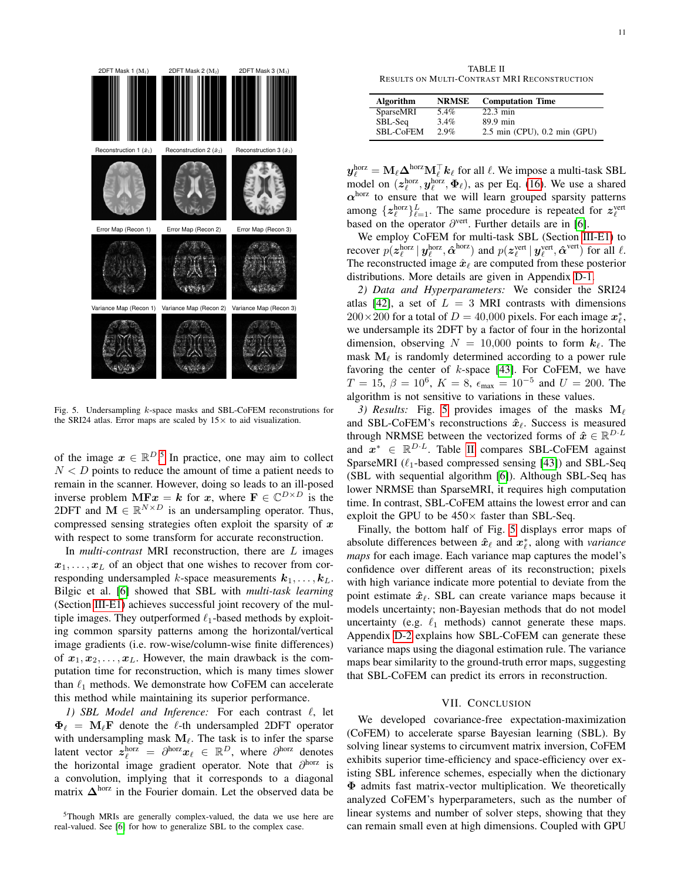

<span id="page-10-1"></span>Fig. 5. Undersampling k-space masks and SBL-CoFEM reconstrutions for the SRI24 atlas. Error maps are scaled by  $15\times$  to aid visualization.

of the image  $x \in \mathbb{R}^{D}$ .<sup>[5](#page-10-0)</sup> In practice, one may aim to collect  $N < D$  points to reduce the amount of time a patient needs to remain in the scanner. However, doing so leads to an ill-posed inverse problem  $\mathbf{M} \mathbf{F} \mathbf{x} = \mathbf{k}$  for  $\mathbf{x}$ , where  $\mathbf{F} \in \mathbb{C}^{D \times D}$  is the 2DFT and  $\mathbf{M} \in \mathbb{R}^{N \times D}$  is an undersampling operator. Thus, compressed sensing strategies often exploit the sparsity of  $x$ with respect to some transform for accurate reconstruction.

In *multi-contrast* MRI reconstruction, there are L images  $x_1, \ldots, x_L$  of an object that one wishes to recover from corresponding undersampled k-space measurements  $k_1, \ldots, k_L$ . Bilgic et al. [\[6\]](#page-12-4) showed that SBL with *multi-task learning* (Section [III-E1\)](#page-4-7) achieves successful joint recovery of the multiple images. They outperformed  $\ell_1$ -based methods by exploiting common sparsity patterns among the horizontal/vertical image gradients (i.e. row-wise/column-wise finite differences) of  $x_1, x_2, \ldots, x_L$ . However, the main drawback is the computation time for reconstruction, which is many times slower than  $\ell_1$  methods. We demonstrate how CoFEM can accelerate this method while maintaining its superior performance.

*1) SBL Model and Inference:* For each contrast  $\ell$ , let  $\Phi_{\ell} = M_{\ell}F$  denote the  $\ell$ -th undersampled 2DFT operator with undersampling mask  $M_\ell$ . The task is to infer the sparse latent vector  $\hat{z}_{\ell}^{\text{horz}} = \partial^{\text{horz}} x_{\ell} \in \mathbb{R}^{D}$ , where  $\partial^{\text{horz}}$  denotes the horizontal image gradient operator. Note that  $\partial^{\text{horz}}$  is a convolution, implying that it corresponds to a diagonal matrix  $\Delta^{horz}$  in the Fourier domain. Let the observed data be

TABLE II RESULTS ON MULTI-CONTRAST MRI RECONSTRUCTION

<span id="page-10-2"></span>

| Algorithm | <b>NRMSE</b> | <b>Computation Time</b>          |
|-----------|--------------|----------------------------------|
| SparseMRI | $5.4\%$      | $22.3 \text{ min}$               |
| SBL-Seq   | $3.4\%$      | $89.9$ min                       |
| SBL-CoFEM | 2.9%         | $2.5$ min (CPU), $0.2$ min (GPU) |

 $y_{\ell}^{\text{horz}} = M_{\ell} \Delta^{\text{horz}} M_{\ell}^{\top} k_{\ell}$  for all  $\ell$ . We impose a multi-task SBL model on  $(z_\ell^{\text{horz}}, y_\ell^{\text{horz}}, \Phi_\ell)$ , as per Eq. [\(16\)](#page-4-8). We use a shared  $\alpha$ <sup>horz</sup> to ensure that we will learn grouped sparsity patterns among  $\{z_{\ell}^{\text{horz}}\}_{\ell=1}^{L}$ . The same procedure is repeated for  $z_{\ell}^{\text{vert}}$ based on the operator  $\partial^{\text{vert}}$ . Further details are in [\[6\]](#page-12-4).

We employ CoFEM for multi-task SBL (Section [III-E1\)](#page-4-7) to recover  $p(z_{\ell}^{\text{horz}} | y_{\ell}^{\text{horz}}, \hat{\alpha}^{\text{horz}})$  and  $p(z_{\ell}^{\text{vert}} | y_{\ell}^{\text{vert}}, \hat{\alpha}^{\text{vert}})$  for all  $\ell$ . The reconstructed image  $\hat{x}_\ell$  are computed from these posterior distributions. More details are given in Appendix [D-1.](#page-11-3)

*2) Data and Hyperparameters:* We consider the SRI24 atlas [\[42\]](#page-12-40), a set of  $L = 3$  MRI contrasts with dimensions  $200 \times 200$  for a total of  $D = 40,000$  pixels. For each image  $x_{\ell}^*$ , we undersample its 2DFT by a factor of four in the horizontal dimension, observing  $N = 10,000$  points to form  $k_{\ell}$ . The mask  $M_\ell$  is randomly determined according to a power rule favoring the center of  $k$ -space [\[43\]](#page-12-41). For CoFEM, we have  $T = 15, \beta = 10^6, K = 8, \epsilon_{\text{max}} = 10^{-5}$  and  $U = 200$ . The algorithm is not sensitive to variations in these values.

3) Results: Fig. [5](#page-10-1) provides images of the masks  $M_\ell$ and SBL-CoFEM's reconstructions  $\hat{x}_\ell$ . Success is measured through NRMSE between the vectorized forms of  $\hat{x} \in \mathbb{R}^{D \cdot L}$ and  $x^* \in \mathbb{R}^{D \cdot L}$ . Table [II](#page-10-2) compares SBL-CoFEM against SparseMRI ( $\ell_1$ -based compressed sensing [\[43\]](#page-12-41)) and SBL-Seq (SBL with sequential algorithm [\[6\]](#page-12-4)). Although SBL-Seq has lower NRMSE than SparseMRI, it requires high computation time. In contrast, SBL-CoFEM attains the lowest error and can exploit the GPU to be  $450\times$  faster than SBL-Seq.

Finally, the bottom half of Fig. [5](#page-10-1) displays error maps of absolute differences between  $\hat{x}_\ell$  and  $x^*_\ell$ , along with *variance maps* for each image. Each variance map captures the model's confidence over different areas of its reconstruction; pixels with high variance indicate more potential to deviate from the point estimate  $\hat{x}_\ell$ . SBL can create variance maps because it models uncertainty; non-Bayesian methods that do not model uncertainty (e.g.  $\ell_1$  methods) cannot generate these maps. Appendix [D-2](#page-12-42) explains how SBL-CoFEM can generate these variance maps using the diagonal estimation rule. The variance maps bear similarity to the ground-truth error maps, suggesting that SBL-CoFEM can predict its errors in reconstruction.

#### VII. CONCLUSION

We developed covariance-free expectation-maximization (CoFEM) to accelerate sparse Bayesian learning (SBL). By solving linear systems to circumvent matrix inversion, CoFEM exhibits superior time-efficiency and space-efficiency over existing SBL inference schemes, especially when the dictionary Φ admits fast matrix-vector multiplication. We theoretically analyzed CoFEM's hyperparameters, such as the number of linear systems and number of solver steps, showing that they can remain small even at high dimensions. Coupled with GPU

<span id="page-10-0"></span><sup>5</sup>Though MRIs are generally complex-valued, the data we use here are real-valued. See [\[6\]](#page-12-4) for how to generalize SBL to the complex case.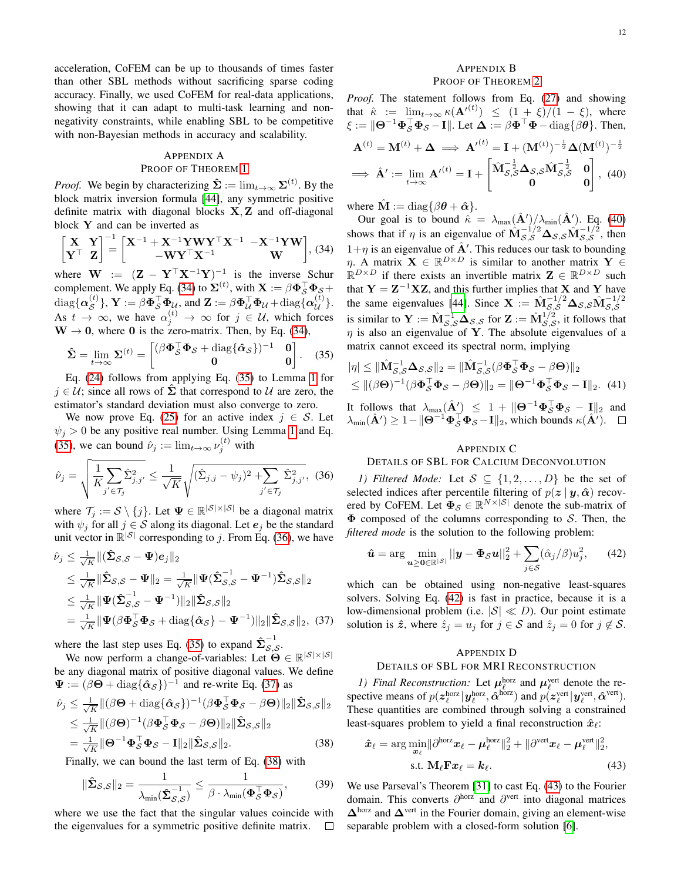acceleration, CoFEM can be up to thousands of times faster than other SBL methods without sacrificing sparse coding accuracy. Finally, we used CoFEM for real-data applications, showing that it can adapt to multi-task learning and nonnegativity constraints, while enabling SBL to be competitive with non-Bayesian methods in accuracy and scalability.

# <span id="page-11-0"></span>APPENDIX A PROOF OF THEOREM [1](#page-5-5)

*Proof.* We begin by characterizing  $\hat{\Sigma} := \lim_{t \to \infty} \Sigma^{(t)}$ . By the block matrix inversion formula [\[44\]](#page-12-43), any symmetric positive definite matrix with diagonal blocks  $X, Z$  and off-diagonal block Y and can be inverted as

$$
\begin{bmatrix} \mathbf{X} & \mathbf{Y} \\ \mathbf{Y}^{\top} & \mathbf{Z} \end{bmatrix}^{-1} = \begin{bmatrix} \mathbf{X}^{-1} + \mathbf{X}^{-1} \mathbf{Y} \mathbf{W} \mathbf{Y}^{\top} \mathbf{X}^{-1} & -\mathbf{X}^{-1} \mathbf{Y} \mathbf{W} \\ -\mathbf{W} \mathbf{Y}^{\top} \mathbf{X}^{-1} & \mathbf{W} \end{bmatrix}, (34)
$$

where  $\mathbf{W} := (\mathbf{Z} - \mathbf{Y}^{\top} \mathbf{X}^{-1} \mathbf{Y})^{-1}$  is the inverse Schur complement. We apply Eq. [\(34\)](#page-11-4) to  $\Sigma^{(t)}$ , with  $\mathbf{X} := \beta \mathbf{\Phi}_S^{\top} \mathbf{\Phi}_S +$  $\text{diag}\{\boldsymbol{\alpha}^{(t)}_{\mathcal{S}}\}, \, \boldsymbol{\mathrm{Y}} := \beta \boldsymbol{\Phi}_{\mathcal{S}}^{\top} \boldsymbol{\Phi}_{\mathcal{U}} \text{, and } \boldsymbol{\mathrm{Z}} := \beta \boldsymbol{\Phi}_{\mathcal{U}}^{\top} \boldsymbol{\Phi}_{\mathcal{U}} + \text{diag}\{\boldsymbol{\alpha}^{(t)}_{\mathcal{U}}\}.$ As  $t \to \infty$ , we have  $\alpha_j^{(t)} \to \infty$  for  $j \in \mathcal{U}$ , which forces  $W \rightarrow 0$ , where 0 is the zero-matrix. Then, by Eq. [\(34\)](#page-11-4),

$$
\hat{\Sigma} = \lim_{t \to \infty} \Sigma^{(t)} = \begin{bmatrix} (\beta \Phi_S^{\top} \Phi_S + \text{diag}\{\hat{\alpha}_S\})^{-1} & 0\\ 0 & 0 \end{bmatrix}.
$$
 (35)

Eq. [\(24\)](#page-5-11) follows from applying Eq. [\(35\)](#page-11-5) to Lemma [1](#page-5-4) for  $j \in \mathcal{U}$ ; since all rows of  $\hat{\Sigma}$  that correspond to  $\mathcal{U}$  are zero, the estimator's standard deviation must also converge to zero.

We now prove Eq. [\(25\)](#page-5-10) for an active index  $j \in S$ . Let  $\psi_i > 0$  be any positive real number. Using Lemma [1](#page-5-4) and Eq. [\(35\)](#page-11-5), we can bound  $\hat{\nu}_j := \lim_{t \to \infty} \nu_j^{(t)}$  with

$$
\hat{\nu}_j = \sqrt{\frac{1}{K} \sum_{j' \in \mathcal{T}_j} \hat{\Sigma}_{j,j'}^2} \le \frac{1}{\sqrt{K}} \sqrt{(\hat{\Sigma}_{j,j} - \psi_j)^2 + \sum_{j' \in \mathcal{T}_j} \hat{\Sigma}_{j,j'}^2}, \tag{36}
$$

where  $\mathcal{T}_j := \mathcal{S} \setminus \{j\}$ . Let  $\Psi \in \mathbb{R}^{|\mathcal{S}| \times |\mathcal{S}|}$  be a diagonal matrix with  $\psi_j$  for all  $j \in S$  along its diagonal. Let  $e_j$  be the standard unit vector in  $\mathbb{R}^{|S|}$  corresponding to j. From Eq. [\(36\)](#page-11-6), we have

$$
\hat{\nu}_j \leq \frac{1}{\sqrt{K}} \| (\hat{\Sigma}_{\mathcal{S},\mathcal{S}} - \Psi) e_j \|_2
$$
\n
$$
\leq \frac{1}{\sqrt{K}} \| \hat{\Sigma}_{\mathcal{S},\mathcal{S}} - \Psi \|_2 = \frac{1}{\sqrt{K}} \| \Psi (\hat{\Sigma}_{\mathcal{S},\mathcal{S}}^{-1} - \Psi^{-1}) \hat{\Sigma}_{\mathcal{S},\mathcal{S}} \|_2
$$
\n
$$
\leq \frac{1}{\sqrt{K}} \| \Psi (\hat{\Sigma}_{\mathcal{S},\mathcal{S}}^{-1} - \Psi^{-1}) \|_2 \| \hat{\Sigma}_{\mathcal{S},\mathcal{S}} \|_2
$$
\n
$$
= \frac{1}{\sqrt{K}} \| \Psi (\beta \Phi_{\mathcal{S}}^{\top} \Phi_{\mathcal{S}} + \text{diag} \{ \hat{\alpha}_{\mathcal{S}} \} - \Psi^{-1}) \|_2 \| \hat{\Sigma}_{\mathcal{S},\mathcal{S}} \|_2, (37)
$$

where the last step uses Eq. [\(35\)](#page-11-5) to expand  $\hat{\Sigma}_{S,\zeta}^{-1}$  $\bar{\mathcal{S},\mathcal{S}}$ .

We now perform a change-of-variables: Let  $\Theta \in \mathbb{R}^{|S| \times |S|}$ be any diagonal matrix of positive diagonal values. We define  $\Psi := (\beta \Theta + \text{diag} \{ \hat{\alpha}_{\mathcal{S}} \} )^{-1}$  and re-write Eq. [\(37\)](#page-11-7) as

$$
\hat{\nu}_j \leq \frac{1}{\sqrt{K}} \| (\beta \mathbf{\Theta} + \text{diag} \{ \hat{\boldsymbol{\alpha}}_{\mathcal{S}} \})^{-1} (\beta \mathbf{\Phi}_{\mathcal{S}}^\top \mathbf{\Phi}_{\mathcal{S}} - \beta \mathbf{\Theta}) \|_2 \| \hat{\boldsymbol{\Sigma}}_{\mathcal{S},\mathcal{S}} \|_2 \n\leq \frac{1}{\sqrt{K}} \| (\beta \mathbf{\Theta})^{-1} (\beta \mathbf{\Phi}_{\mathcal{S}}^\top \mathbf{\Phi}_{\mathcal{S}} - \beta \mathbf{\Theta}) \|_2 \| \hat{\boldsymbol{\Sigma}}_{\mathcal{S},\mathcal{S}} \|_2 \n= \frac{1}{\sqrt{K}} \| \mathbf{\Theta}^{-1} \mathbf{\Phi}_{\mathcal{S}}^\top \mathbf{\Phi}_{\mathcal{S}} - \mathbf{I} \|_2 \| \hat{\boldsymbol{\Sigma}}_{\mathcal{S},\mathcal{S}} \|_2.
$$
\n(38)

Finally, we can bound the last term of Eq. [\(38\)](#page-11-8) with

$$
\|\hat{\Sigma}_{\mathcal{S},\mathcal{S}}\|_2 = \frac{1}{\lambda_{\min}(\hat{\Sigma}_{\mathcal{S},\mathcal{S}}^{-1})} \le \frac{1}{\beta \cdot \lambda_{\min}(\boldsymbol{\Phi}_{\mathcal{S}}^{\top} \boldsymbol{\Phi}_{\mathcal{S}})},\qquad(39)
$$

where we use the fact that the singular values coincide with the eigenvalues for a symmetric positive definite matrix.  $\Box$ 

# <span id="page-11-9"></span><span id="page-11-1"></span>APPENDIX B PROOF OF THEOREM [2](#page-6-2)

*Proof.* The statement follows from Eq. [\(27\)](#page-5-12) and showing that  $\hat{\kappa} := \lim_{t \to \infty} \kappa(\mathbf{A}^{(t)}) \leq (1 + \xi)/(1 - \xi)$ , where  $\xi := \|\mathbf{\Theta}^{-1}\mathbf{\Phi}_{\mathcal{S}}^{\top}\mathbf{\Phi}_{\mathcal{S}} - \mathbf{I}\|.$  Let  $\mathbf{\Delta} := \beta\mathbf{\Phi}^{\top}\mathbf{\Phi} - \text{diag}\{\beta\mathbf{\theta}\}.$  Then,  ${\bf A}^{(t)} ={\bf M}^{(t)} + {\bf \Delta} \implies {\bf A'}^{(t)} ={\bf I} + ({\bf M}^{(t)})^{-\frac{1}{2}}{\bf \Delta}({\bf M}^{(t)})^{-\frac{1}{2}}$  $\Rightarrow \hat{\mathbf{A}}' := \lim_{t \to \infty} {\mathbf{A}}'^{(t)} = \mathbf{I} + \begin{bmatrix} \hat{\mathbf{M}}_{\mathcal{S}, \mathcal{S}}^{-\frac{1}{2}} \mathbf{\Delta}_{\mathcal{S}, \mathcal{S}} \hat{\mathbf{M}}_{\mathcal{S}, \mathcal{S}}^{-\frac{1}{2}} & \mathbf{0} \\ \mathbf{0} & \mathbf{0} \end{bmatrix}, (40)$ 

where  $\hat{\mathbf{M}} := \text{diag}\{\beta \boldsymbol{\theta} + \hat{\boldsymbol{\alpha}}\}.$ 

<span id="page-11-4"></span>Our goal is to bound  $\hat{\kappa} = \lambda_{\max}(\hat{\mathbf{A}}')/\lambda_{\min}(\hat{\mathbf{A}}')$ . Eq. [\(40\)](#page-11-9) shows that if  $\eta$  is an eigenvalue of  $\hat{M}_{S,S}^{-1/2}\Delta_{S,S}\hat{M}_{S,S}^{-1/2}$ , then  $1+\eta$  is an eigenvalue of  $\hat{A}'$ . This reduces our task to bounding  $\eta$ . A matrix  $\mathbf{X} \in \mathbb{R}^{D \times D}$  is similar to another matrix  $\mathbf{Y} \in$  $\mathbb{R}^{D\times D}$  if there exists an invertible matrix  $\mathbf{Z} \in \mathbb{R}^{D\times D}$  such that  $Y = Z^{-1}XZ$ , and this further implies that X and Y have the same eigenvalues [\[44\]](#page-12-43). Since  $\mathbf{X} := \hat{\mathbf{M}}_{\mathcal{S},\mathcal{S}}^{-1/2} \Delta_{\mathcal{S},\mathcal{S}} \hat{\mathbf{M}}_{\mathcal{S},\mathcal{S}}^{-1/2}$ is similar to  $\mathbf{Y} := \hat{\mathbf{M}}_{\mathcal{S},\mathcal{S}}^{-1}\mathbf{\Delta}_{\mathcal{S},\mathcal{S}}$  for  $\mathbf{Z} := \hat{\mathbf{M}}_{\mathcal{S},\mathcal{S}}^{1/2}$  $\mathcal{S}_{\mathcal{S}}^{1/2}$ , it follows that  $\eta$  is also an eigenvalue of Y. The absolute eigenvalues of a matrix cannot exceed its spectral norm, implying

<span id="page-11-5"></span>
$$
|\eta| \le ||\hat{\mathbf{M}}_{\mathcal{S},\mathcal{S}}^{-1} \mathbf{\Delta}_{\mathcal{S},\mathcal{S}}||_2 = ||\hat{\mathbf{M}}_{\mathcal{S},\mathcal{S}}^{-1} (\beta \mathbf{\Phi}_{\mathcal{S}}^{\top} \mathbf{\Phi}_{\mathcal{S}} - \beta \mathbf{\Theta})||_2
$$
  
\$\le ||(\beta \mathbf{\Theta})^{-1} (\beta \mathbf{\Phi}\_{\mathcal{S}}^{\top} \mathbf{\Phi}\_{\mathcal{S}} - \beta \mathbf{\Theta})||\_2 = ||\mathbf{\Theta}^{-1} \mathbf{\Phi}\_{\mathcal{S}}^{\top} \mathbf{\Phi}\_{\mathcal{S}} - \mathbf{I}||\_2. (41)\$

It follows that  $\lambda_{\max}(\hat{\mathbf{A}}') \leq 1 + ||\mathbf{\Theta}^{-1} \mathbf{\Phi}_{\mathcal{S}}^{\top} \mathbf{\Phi}_{\mathcal{S}} - \mathbf{I}||_2$  and  $\lambda_{\min}(\hat{\mathbf{A}}') \geq 1 - ||\mathbf{\Theta}^{-1} \mathbf{\Phi}_{\mathcal{S}}^{\top} \mathbf{\Phi}_{\mathcal{S}} - \mathbf{I}||_2$ , which bounds  $\kappa(\hat{\mathbf{A}}')$ .

#### <span id="page-11-10"></span>APPENDIX C

# DETAILS OF SBL FOR CALCIUM DECONVOLUTION

<span id="page-11-6"></span><span id="page-11-2"></span>*1) Filtered Mode:* Let  $S \subseteq \{1, 2, ..., D\}$  be the set of selected indices after percentile filtering of  $p(z | y, \hat{\alpha})$  recovered by CoFEM. Let  $\Phi_{\mathcal{S}} \in \mathbb{R}^{N \times |\mathcal{S}|}$  denote the sub-matrix of  $\Phi$  composed of the columns corresponding to  $S$ . Then, the *filtered mode* is the solution to the following problem:

$$
\hat{\mathbf{u}} = \arg\min_{\mathbf{u} \ge \mathbf{0} \in \mathbb{R}^{|S|}} ||\mathbf{y} - \mathbf{\Phi}_{\mathcal{S}} \mathbf{u}||_2^2 + \sum_{j \in S} (\hat{\alpha}_j/\beta) u_j^2, \qquad (42)
$$

<span id="page-11-7"></span>which can be obtained using non-negative least-squares solvers. Solving Eq. [\(42\)](#page-11-10) is fast in practice, because it is a low-dimensional problem (i.e.  $|S| \ll D$ ). Our point estimate solution is  $\hat{z}$ , where  $\hat{z}_j = u_j$  for  $j \in S$  and  $\hat{z}_j = 0$  for  $j \notin S$ .

#### <span id="page-11-11"></span>APPENDIX D

#### DETAILS OF SBL FOR MRI RECONSTRUCTION

<span id="page-11-3"></span>*1) Final Reconstruction:* Let  $\mu_{\ell}^{\text{horz}}$  and  $\mu_{\ell}^{\text{vert}}$  denote the respective means of  $p(\mathbf{z}_{\ell}^{\text{horz}} | \mathbf{y}_{\ell}^{\text{horz}}, \hat{\boldsymbol{\alpha}}^{\text{horz}})$  and  $p(\mathbf{z}_{\ell}^{\text{vert}} | \mathbf{y}_{\ell}^{\text{vert}}, \hat{\boldsymbol{\alpha}}^{\text{vert}})$ . These quantities are combined through solving a constrained least-squares problem to yield a final reconstruction  $\hat{x}_i$ :

<span id="page-11-8"></span>
$$
\hat{\boldsymbol{x}}_{\ell} = \arg\min_{\boldsymbol{x}_{\ell}} \|\partial^{\text{horz}} \boldsymbol{x}_{\ell} - \boldsymbol{\mu}_{\ell}^{\text{horz}}\|_{2}^{2} + \|\partial^{\text{vert}} \boldsymbol{x}_{\ell} - \boldsymbol{\mu}_{\ell}^{\text{vert}}\|_{2}^{2},
$$
\ns.t.  $\mathbf{M}_{\ell} \mathbf{F} \boldsymbol{x}_{\ell} = \boldsymbol{k}_{\ell}.$  (43)

We use Parseval's Theorem [\[31\]](#page-12-29) to cast Eq. [\(43\)](#page-11-11) to the Fourier domain. This converts  $\partial^{\text{horz}}$  and  $\partial^{\text{vert}}$  into diagonal matrices  $\Delta^{\text{horz}}$  and  $\Delta^{\text{vert}}$  in the Fourier domain, giving an element-wise separable problem with a closed-form solution [\[6\]](#page-12-4).